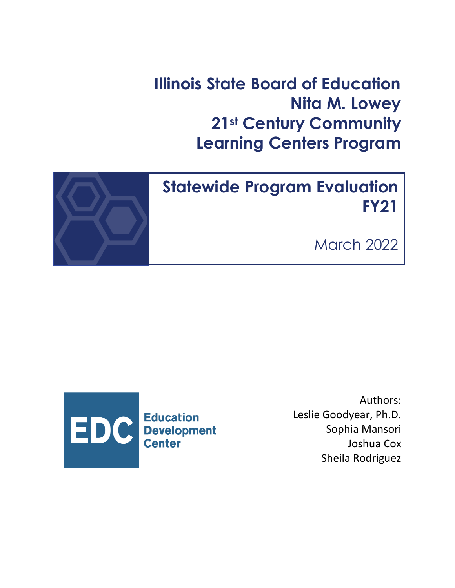**Illinois State Board of Education Nita M. Lowey 21st Century Community Learning Centers Program**



# **Statewide Program Evaluation FY21**

March 2022



Authors: Leslie Goodyear, Ph.D. Sophia Mansori Joshua Cox Sheila Rodriguez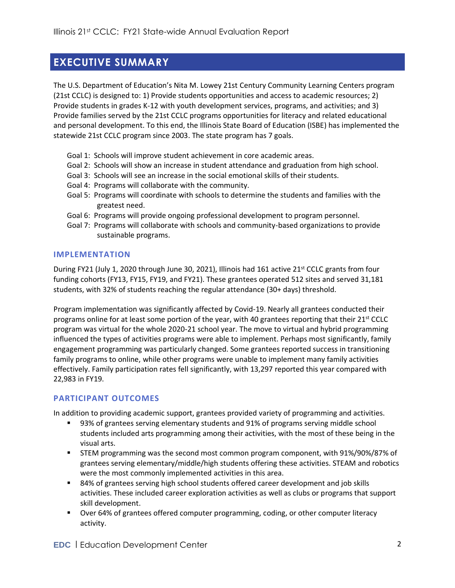## **EXECUTIVE SUMMARY**

The U.S. Department of Education's Nita M. Lowey 21st Century Community Learning Centers program (21st CCLC) is designed to: 1) Provide students opportunities and access to academic resources; 2) Provide students in grades K-12 with youth development services, programs, and activities; and 3) Provide families served by the 21st CCLC programs opportunities for literacy and related educational and personal development. To this end, the Illinois State Board of Education (ISBE) has implemented the statewide 21st CCLC program since 2003. The state program has 7 goals.

- Goal 1: Schools will improve student achievement in core academic areas.
- Goal 2: Schools will show an increase in student attendance and graduation from high school.
- Goal 3: Schools will see an increase in the social emotional skills of their students.
- Goal 4: Programs will collaborate with the community.
- Goal 5: Programs will coordinate with schools to determine the students and families with the greatest need.
- Goal 6: Programs will provide ongoing professional development to program personnel.
- Goal 7: Programs will collaborate with schools and community-based organizations to provide sustainable programs.

#### **IMPLEMENTATION**

During FY21 (July 1, 2020 through June 30, 2021), Illinois had 161 active 21<sup>st</sup> CCLC grants from four funding cohorts (FY13, FY15, FY19, and FY21). These grantees operated 512 sites and served 31,181 students, with 32% of students reaching the regular attendance (30+ days) threshold.

Program implementation was significantly affected by Covid-19. Nearly all grantees conducted their programs online for at least some portion of the year, with 40 grantees reporting that their 21<sup>st</sup> CCLC program was virtual for the whole 2020-21 school year. The move to virtual and hybrid programming influenced the types of activities programs were able to implement. Perhaps most significantly, family engagement programming was particularly changed. Some grantees reported success in transitioning family programs to online, while other programs were unable to implement many family activities effectively. Family participation rates fell significantly, with 13,297 reported this year compared with 22,983 in FY19.

### **PARTICIPANT OUTCOMES**

In addition to providing academic support, grantees provided variety of programming and activities.

- 93% of grantees serving elementary students and 91% of programs serving middle school students included arts programming among their activities, with the most of these being in the visual arts.
- STEM programming was the second most common program component, with 91%/90%/87% of grantees serving elementary/middle/high students offering these activities. STEAM and robotics were the most commonly implemented activities in this area.
- 84% of grantees serving high school students offered career development and job skills activities. These included career exploration activities as well as clubs or programs that support skill development.
- Over 64% of grantees offered computer programming, coding, or other computer literacy activity.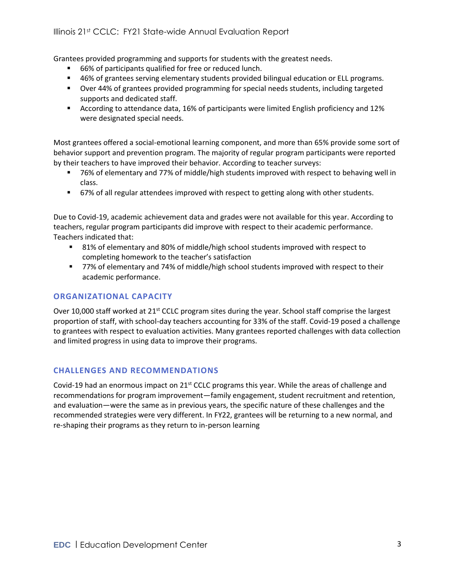Grantees provided programming and supports for students with the greatest needs.

- 66% of participants qualified for free or reduced lunch.
- 46% of grantees serving elementary students provided bilingual education or ELL programs.
- Over 44% of grantees provided programming for special needs students, including targeted supports and dedicated staff.
- According to attendance data, 16% of participants were limited English proficiency and 12% were designated special needs.

Most grantees offered a social-emotional learning component, and more than 65% provide some sort of behavior support and prevention program. The majority of regular program participants were reported by their teachers to have improved their behavior. According to teacher surveys:

- 76% of elementary and 77% of middle/high students improved with respect to behaving well in class.
- 67% of all regular attendees improved with respect to getting along with other students.

Due to Covid-19, academic achievement data and grades were not available for this year. According to teachers, regular program participants did improve with respect to their academic performance. Teachers indicated that:

- 81% of elementary and 80% of middle/high school students improved with respect to completing homework to the teacher's satisfaction
- 77% of elementary and 74% of middle/high school students improved with respect to their academic performance.

### **ORGANIZATIONAL CAPACITY**

Over 10,000 staff worked at 21<sup>st</sup> CCLC program sites during the year. School staff comprise the largest proportion of staff, with school-day teachers accounting for 33% of the staff. Covid-19 posed a challenge to grantees with respect to evaluation activities. Many grantees reported challenges with data collection and limited progress in using data to improve their programs.

### **CHALLENGES AND RECOMMENDATIONS**

Covid-19 had an enormous impact on  $21^{st}$  CCLC programs this year. While the areas of challenge and recommendations for program improvement—family engagement, student recruitment and retention, and evaluation—were the same as in previous years, the specific nature of these challenges and the recommended strategies were very different. In FY22, grantees will be returning to a new normal, and re-shaping their programs as they return to in-person learning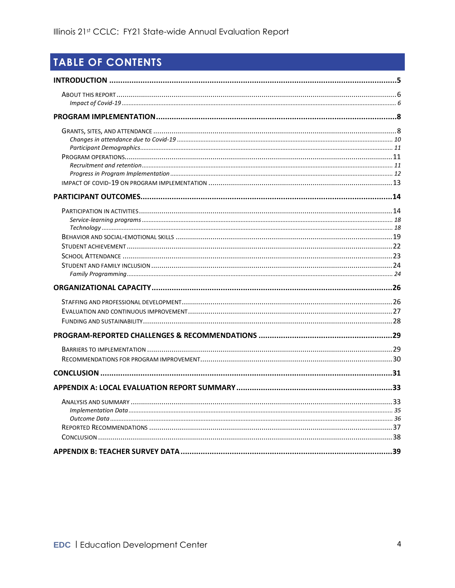## TABLE OF CONTENTS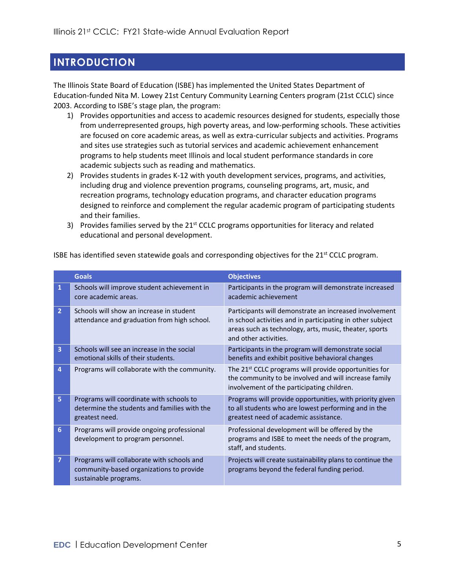## <span id="page-4-0"></span>**INTRODUCTION**

The Illinois State Board of Education (ISBE) has implemented the United States Department of Education-funded Nita M. Lowey 21st Century Community Learning Centers program (21st CCLC) since 2003. According to ISBE's stage plan, the program:

- 1) Provides opportunities and access to academic resources designed for students, especially those from underrepresented groups, high poverty areas, and low-performing schools. These activities are focused on core academic areas, as well as extra-curricular subjects and activities. Programs and sites use strategies such as tutorial services and academic achievement enhancement programs to help students meet Illinois and local student performance standards in core academic subjects such as reading and mathematics.
- 2) Provides students in grades K-12 with youth development services, programs, and activities, including drug and violence prevention programs, counseling programs, art, music, and recreation programs, technology education programs, and character education programs designed to reinforce and complement the regular academic program of participating students and their families.
- 3) Provides families served by the  $21<sup>st</sup>$  CCLC programs opportunities for literacy and related educational and personal development.

|                | <b>Goals</b>                                                                                                    | <b>Objectives</b>                                                                                                                                                                                       |
|----------------|-----------------------------------------------------------------------------------------------------------------|---------------------------------------------------------------------------------------------------------------------------------------------------------------------------------------------------------|
| 1              | Schools will improve student achievement in<br>core academic areas.                                             | Participants in the program will demonstrate increased<br>academic achievement                                                                                                                          |
| $\overline{2}$ | Schools will show an increase in student<br>attendance and graduation from high school.                         | Participants will demonstrate an increased involvement<br>in school activities and in participating in other subject<br>areas such as technology, arts, music, theater, sports<br>and other activities. |
| 3              | Schools will see an increase in the social<br>emotional skills of their students.                               | Participants in the program will demonstrate social<br>benefits and exhibit positive behavioral changes                                                                                                 |
| 4              | Programs will collaborate with the community.                                                                   | The 21 <sup>st</sup> CCLC programs will provide opportunities for<br>the community to be involved and will increase family<br>involvement of the participating children.                                |
| 5              | Programs will coordinate with schools to<br>determine the students and families with the<br>greatest need.      | Programs will provide opportunities, with priority given<br>to all students who are lowest performing and in the<br>greatest need of academic assistance.                                               |
| 6              | Programs will provide ongoing professional<br>development to program personnel.                                 | Professional development will be offered by the<br>programs and ISBE to meet the needs of the program,<br>staff, and students.                                                                          |
| 7              | Programs will collaborate with schools and<br>community-based organizations to provide<br>sustainable programs. | Projects will create sustainability plans to continue the<br>programs beyond the federal funding period.                                                                                                |

ISBE has identified seven statewide goals and corresponding objectives for the 21<sup>st</sup> CCLC program.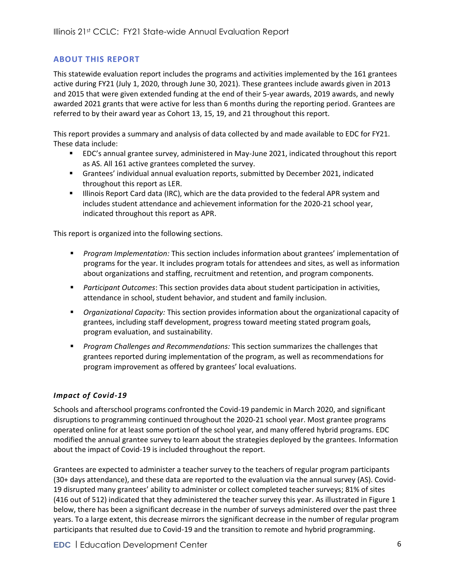### <span id="page-5-0"></span>**ABOUT THIS REPORT**

This statewide evaluation report includes the programs and activities implemented by the 161 grantees active during FY21 (July 1, 2020, through June 30, 2021). These grantees include awards given in 2013 and 2015 that were given extended funding at the end of their 5-year awards, 2019 awards, and newly awarded 2021 grants that were active for less than 6 months during the reporting period. Grantees are referred to by their award year as Cohort 13, 15, 19, and 21 throughout this report.

This report provides a summary and analysis of data collected by and made available to EDC for FY21. These data include:

- EDC's annual grantee survey, administered in May-June 2021, indicated throughout this report as AS. All 161 active grantees completed the survey.
- Grantees' individual annual evaluation reports, submitted by December 2021, indicated throughout this report as LER.
- **.** Illinois Report Card data (IRC), which are the data provided to the federal APR system and includes student attendance and achievement information for the 2020-21 school year, indicated throughout this report as APR.

This report is organized into the following sections.

- *Program Implementation:* This section includes information about grantees' implementation of programs for the year. It includes program totals for attendees and sites, as well as information about organizations and staffing, recruitment and retention, and program components.
- *Participant Outcomes*: This section provides data about student participation in activities, attendance in school, student behavior, and student and family inclusion.
- *Organizational Capacity:* This section provides information about the organizational capacity of grantees, including staff development, progress toward meeting stated program goals, program evaluation, and sustainability.
- **Program Challenges and Recommendations: This section summarizes the challenges that** grantees reported during implementation of the program, as well as recommendations for program improvement as offered by grantees' local evaluations.

### <span id="page-5-1"></span>*Impact of Covid-19*

Schools and afterschool programs confronted the Covid-19 pandemic in March 2020, and significant disruptions to programming continued throughout the 2020-21 school year. Most grantee programs operated online for at least some portion of the school year, and many offered hybrid programs. EDC modified the annual grantee survey to learn about the strategies deployed by the grantees. Information about the impact of Covid-19 is included throughout the report.

Grantees are expected to administer a teacher survey to the teachers of regular program participants (30+ days attendance), and these data are reported to the evaluation via the annual survey (AS). Covid-19 disrupted many grantees' ability to administer or collect completed teacher surveys; 81% of sites (416 out of 512) indicated that they administered the teacher survey this year. As illustrated in [Figure 1](#page-6-0) below, there has been a significant decrease in the number of surveys administered over the past three years. To a large extent, this decrease mirrors the significant decrease in the number of regular program participants that resulted due to Covid-19 and the transition to remote and hybrid programming.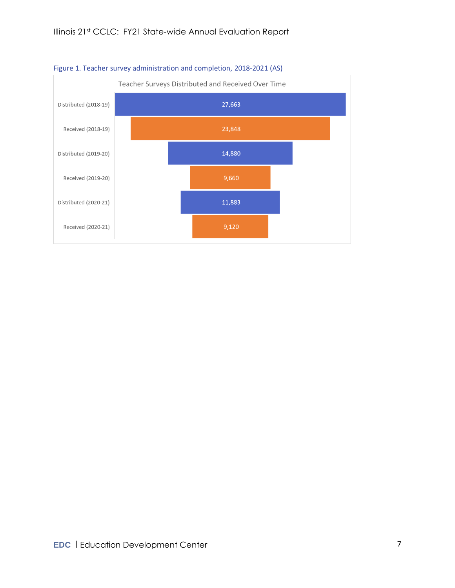

### <span id="page-6-0"></span>Figure 1. Teacher survey administration and completion, 2018-2021 (AS)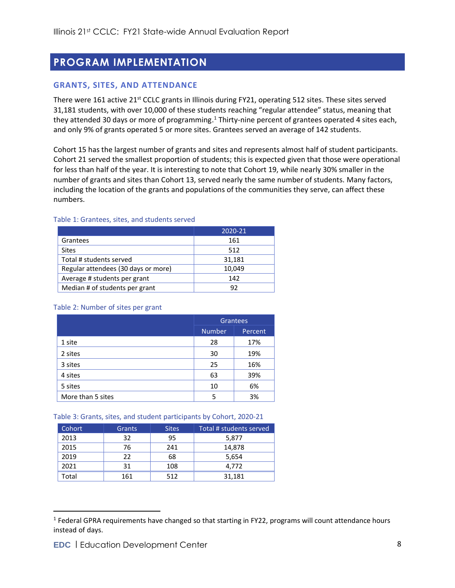## <span id="page-7-0"></span>**PROGRAM IMPLEMENTATION**

### <span id="page-7-1"></span>**GRANTS, SITES, AND ATTENDANCE**

There were 161 active 21<sup>st</sup> CCLC grants in Illinois during FY21, operating 512 sites. These sites served 31,181 students, with over 10,000 of these students reaching "regular attendee" status, meaning that they attended 30 days or more of programming.<sup>1</sup> Thirty-nine percent of grantees operated 4 sites each, and only 9% of grants operated 5 or more sites. Grantees served an average of 142 students.

Cohort 15 has the largest number of grants and sites and represents almost half of student participants. Cohort 21 served the smallest proportion of students; this is expected given that those were operational for less than half of the year. It is interesting to note that Cohort 19, while nearly 30% smaller in the number of grants and sites than Cohort 13, served nearly the same number of students. Many factors, including the location of the grants and populations of the communities they serve, can affect these numbers.

#### Table 1: Grantees, sites, and students served

|                                     | 2020-21 |
|-------------------------------------|---------|
| Grantees                            | 161     |
| <b>Sites</b>                        | 512     |
| Total # students served             | 31,181  |
| Regular attendees (30 days or more) | 10,049  |
| Average # students per grant        | 142     |
| Median # of students per grant      | 92      |

#### Table 2: Number of sites per grant

|                   | <b>Grantees</b><br><b>Number</b><br>Percent |     |
|-------------------|---------------------------------------------|-----|
|                   |                                             |     |
| 1 site            | 28                                          | 17% |
| 2 sites           | 30                                          | 19% |
| 3 sites           | 25                                          | 16% |
| 4 sites           | 63                                          | 39% |
| 5 sites           | 10                                          | 6%  |
| More than 5 sites | 5                                           | 3%  |

#### Table 3: Grants, sites, and student participants by Cohort, 2020-21

| <b>Cohort</b> | <b>Grants</b> | <b>Sites</b> | Total # students served |
|---------------|---------------|--------------|-------------------------|
| 2013          | 32            | 95           | 5,877                   |
| 2015          | 76            | 241          | 14,878                  |
| 2019          | 22            | 68           | 5,654                   |
| 2021          | 31            | 108          | 4.772                   |
| Гоtal         | 161           | 512          | 31,181                  |

<sup>&</sup>lt;sup>1</sup> Federal GPRA requirements have changed so that starting in FY22, programs will count attendance hours instead of days.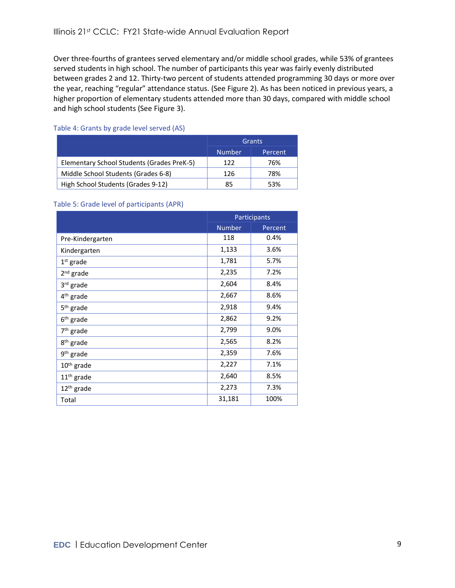Over three-fourths of grantees served elementary and/or middle school grades, while 53% of grantees served students in high school. The number of participants this year was fairly evenly distributed between grades 2 and 12. Thirty-two percent of students attended programming 30 days or more over the year, reaching "regular" attendance status. (See [Figure 2\)](#page-9-1). As has been noticed in previous years, a higher proportion of elementary students attended more than 30 days, compared with middle school and high school students (See [Figure 3\)](#page-9-2).

#### Table 4: Grants by grade level served (AS)

|                                            | <b>Grants</b> |         |
|--------------------------------------------|---------------|---------|
|                                            | 'Number       | Percent |
| Elementary School Students (Grades PreK-5) | 122           | 76%     |
| Middle School Students (Grades 6-8)        | 126           | 78%     |
| High School Students (Grades 9-12)         | 85            | 53%     |

#### Table 5: Grade level of participants (APR)

|                        | Participants  |         |
|------------------------|---------------|---------|
|                        | <b>Number</b> | Percent |
| Pre-Kindergarten       | 118           | 0.4%    |
| Kindergarten           | 1,133         | 3.6%    |
| $1st$ grade            | 1,781         | 5.7%    |
| $2nd$ grade            | 2,235         | 7.2%    |
| 3 <sup>rd</sup> grade  | 2,604         | 8.4%    |
| 4 <sup>th</sup> grade  | 2,667         | 8.6%    |
| 5 <sup>th</sup> grade  | 2,918         | 9.4%    |
| 6 <sup>th</sup> grade  | 2,862         | 9.2%    |
| 7 <sup>th</sup> grade  | 2,799         | 9.0%    |
| 8 <sup>th</sup> grade  | 2,565         | 8.2%    |
| 9 <sup>th</sup> grade  | 2,359         | 7.6%    |
| $10th$ grade           | 2,227         | 7.1%    |
| $11th$ grade           | 2,640         | 8.5%    |
| 12 <sup>th</sup> grade | 2,273         | 7.3%    |
| Total                  | 31,181        | 100%    |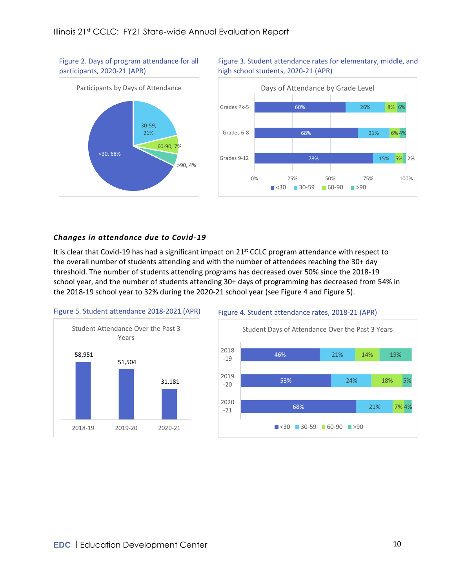<span id="page-9-1"></span>Figure 2. Days of program attendance for all participants, 2020-21 (APR)





### <span id="page-9-2"></span>Figure 3. Student attendance rates for elementary, middle, and high school students, 2020-21 (APR)

### <span id="page-9-0"></span>*Changes in attendance due to Covid-19*

It is clear that Covid-19 has had a significant impact on 21<sup>st</sup> CCLC program attendance with respect to the overall number of students attending and with the number of attendees reaching the 30+ day threshold. The number of students attending programs has decreased over 50% since the 2018-19 school year, and the number of students attending 30+ days of programming has decreased from 54% in the 2018-19 school year to 32% during the 2020-21 school year (see [Figure 4](#page-9-3) and [Figure 5\)](#page-9-4).

<span id="page-9-4"></span>

#### <span id="page-9-3"></span>Figure 4. Student attendance rates, 2018-21 (APR)

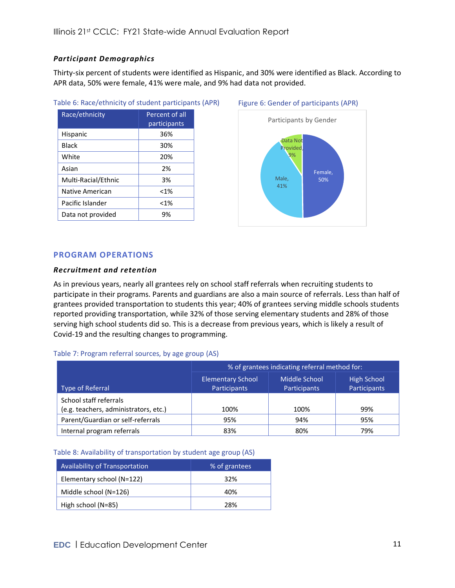### <span id="page-10-0"></span>*Participant Demographics*

Thirty-six percent of students were identified as Hispanic, and 30% were identified as Black. According to APR data, 50% were female, 41% were male, and 9% had data not provided.

| Table 6: Race/ethnicity of student participants (APR) |  |
|-------------------------------------------------------|--|
|-------------------------------------------------------|--|

| Race/ethnicity      | Percent of all<br>participants |
|---------------------|--------------------------------|
| Hispanic            | 36%                            |
| Black               | 30%                            |
| White               | 20%                            |
| Asian               | 2%                             |
| Multi-Racial/Ethnic | 3%                             |
| Native American     | $< 1\%$                        |
| Pacific Islander    | $<$ 1%                         |
| Data not provided   | 9%                             |



#### <span id="page-10-1"></span>**PROGRAM OPERATIONS**

#### <span id="page-10-2"></span>*Recruitment and retention*

As in previous years, nearly all grantees rely on school staff referrals when recruiting students to participate in their programs. Parents and guardians are also a main source of referrals. Less than half of grantees provided transportation to students this year; 40% of grantees serving middle schools students reported providing transportation, while 32% of those serving elementary students and 28% of those serving high school students did so. This is a decrease from previous years, which is likely a result of Covid-19 and the resulting changes to programming.

#### Table 7: Program referral sources, by age group (AS)

|                                                                 | % of grantees indicating referral method for: |                               |                                    |  |
|-----------------------------------------------------------------|-----------------------------------------------|-------------------------------|------------------------------------|--|
| Type of Referral                                                | <b>Elementary School</b><br>Participants      | Middle School<br>Participants | <b>High School</b><br>Participants |  |
| School staff referrals<br>(e.g. teachers, administrators, etc.) | 100%                                          | 100%                          | 99%                                |  |
| Parent/Guardian or self-referrals                               | 95%                                           | 94%                           | 95%                                |  |
| Internal program referrals                                      | 83%                                           | 80%                           | 79%                                |  |

#### Table 8: Availability of transportation by student age group (AS)

| <b>Availability of Transportation</b> | % of grantees |
|---------------------------------------|---------------|
| Elementary school (N=122)             | 32%           |
| Middle school (N=126)                 | 40%           |
| High school (N=85)                    | 28%           |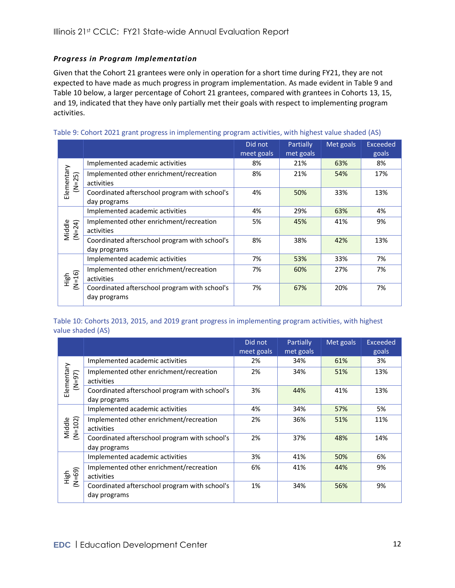### <span id="page-11-0"></span>*Progress in Program Implementation*

Given that the Cohort 21 grantees were only in operation for a short time during FY21, they are not expected to have made as much progress in program implementation. As made evident i[n Table 9](#page-11-1) and [Table 10](#page-11-2) below, a larger percentage of Cohort 21 grantees, compared with grantees in Cohorts 13, 15, and 19, indicated that they have only partially met their goals with respect to implementing program activities.

<span id="page-11-1"></span>

| Table 9: Cohort 2021 grant progress in implementing program activities, with highest value shaded (AS) |  |  |  |
|--------------------------------------------------------------------------------------------------------|--|--|--|
|                                                                                                        |  |  |  |

|                        |                                                               | Did not<br>meet goals | Partially<br>met goals | Met goals | <b>Exceeded</b><br>goals |
|------------------------|---------------------------------------------------------------|-----------------------|------------------------|-----------|--------------------------|
|                        | Implemented academic activities                               | 8%                    | 21%                    | 63%       | 8%                       |
| Elementary<br>$N = 25$ | Implemented other enrichment/recreation<br>activities         | 8%                    | 21%                    | 54%       | 17%                      |
|                        | Coordinated afterschool program with school's<br>day programs | 4%                    | 50%                    | 33%       | 13%                      |
|                        | Implemented academic activities                               | 4%                    | 29%                    | 63%       | 4%                       |
| Middle<br>$(N=24)$     | Implemented other enrichment/recreation<br>activities         | 5%                    | 45%                    | 41%       | 9%                       |
|                        | Coordinated afterschool program with school's<br>day programs | 8%                    | 38%                    | 42%       | 13%                      |
|                        | Implemented academic activities                               | 7%                    | 53%                    | 33%       | 7%                       |
| Nigh<br>(N=16)         | Implemented other enrichment/recreation<br>activities         | 7%                    | 60%                    | 27%       | 7%                       |
|                        | Coordinated afterschool program with school's<br>day programs | 7%                    | 67%                    | 20%       | 7%                       |

#### <span id="page-11-2"></span>Table 10: Cohorts 2013, 2015, and 2019 grant progress in implementing program activities, with highest value shaded (AS)

|                        |                                                               | Did not<br>meet goals | Partially<br>met goals | Met goals | <b>Exceeded</b><br>goals |
|------------------------|---------------------------------------------------------------|-----------------------|------------------------|-----------|--------------------------|
| Elementary<br>$(N=97)$ | Implemented academic activities                               | 2%                    | 34%                    | 61%       | 3%                       |
|                        | Implemented other enrichment/recreation<br>activities         | 2%                    | 34%                    | 51%       | 13%                      |
|                        | Coordinated afterschool program with school's<br>day programs | 3%                    | 44%                    | 41%       | 13%                      |
|                        | Implemented academic activities                               | 4%                    | 34%                    | 57%       | 5%                       |
| $(N=102)$<br>Middle    | Implemented other enrichment/recreation<br>activities         | 2%                    | 36%                    | 51%       | 11%                      |
|                        | Coordinated afterschool program with school's<br>day programs | 2%                    | 37%                    | 48%       | 14%                      |
|                        | Implemented academic activities                               | 3%                    | 41%                    | 50%       | 6%                       |
| High<br>(N=69)         | Implemented other enrichment/recreation<br>activities         | 6%                    | 41%                    | 44%       | 9%                       |
|                        | Coordinated afterschool program with school's<br>day programs | 1%                    | 34%                    | 56%       | 9%                       |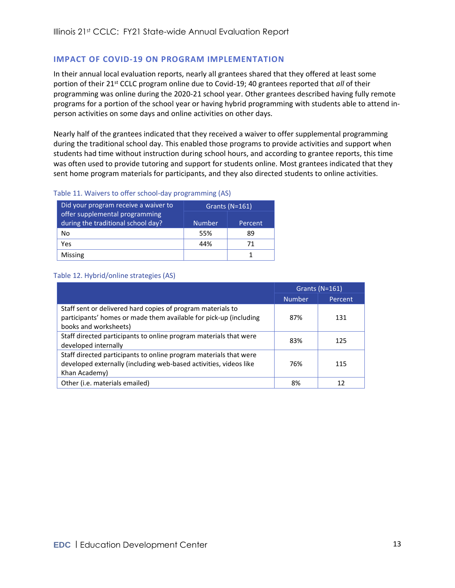### <span id="page-12-0"></span>**IMPACT OF COVID-19 ON PROGRAM IMPLEMENTATION**

In their annual local evaluation reports, nearly all grantees shared that they offered at least some portion of their 21<sup>st</sup> CCLC program online due to Covid-19; 40 grantees reported that *all* of their programming was online during the 2020-21 school year. Other grantees described having fully remote programs for a portion of the school year or having hybrid programming with students able to attend inperson activities on some days and online activities on other days.

Nearly half of the grantees indicated that they received a waiver to offer supplemental programming during the traditional school day. This enabled those programs to provide activities and support when students had time without instruction during school hours, and according to grantee reports, this time was often used to provide tutoring and support for students online. Most grantees indicated that they sent home program materials for participants, and they also directed students to online activities.

#### Table 11. Waivers to offer school-day programming (AS)

| Did your program receive a waiver to                                 | Grants $(N=161)$ |         |  |
|----------------------------------------------------------------------|------------------|---------|--|
| offer supplemental programming<br>during the traditional school day? | <b>Number</b>    | Percent |  |
| No                                                                   | 55%              | 89      |  |
| Yes                                                                  | 44%              | 71      |  |
| Missing                                                              |                  |         |  |

#### Table 12. Hybrid/online strategies (AS)

|                                                                                                                                                           | Grants $(N=161)$ |         |
|-----------------------------------------------------------------------------------------------------------------------------------------------------------|------------------|---------|
|                                                                                                                                                           | <b>Number</b>    | Percent |
| Staff sent or delivered hard copies of program materials to<br>participants' homes or made them available for pick-up (including<br>books and worksheets) | 87%              | 131     |
| Staff directed participants to online program materials that were<br>developed internally                                                                 | 83%              | 125     |
| Staff directed participants to online program materials that were<br>developed externally (including web-based activities, videos like<br>Khan Academy)   | 76%              | 115     |
| Other (i.e. materials emailed)                                                                                                                            | 8%               | 12      |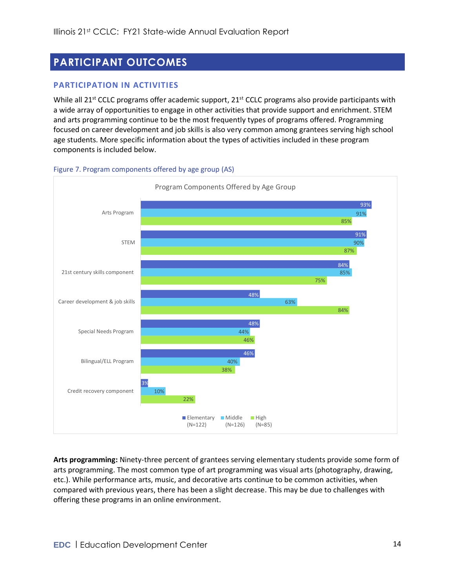## <span id="page-13-0"></span>**PARTICIPANT OUTCOMES**

### <span id="page-13-1"></span>**PARTICIPATION IN ACTIVITIES**

While all 21<sup>st</sup> CCLC programs offer academic support, 21<sup>st</sup> CCLC programs also provide participants with a wide array of opportunities to engage in other activities that provide support and enrichment. STEM and arts programming continue to be the most frequently types of programs offered. Programming focused on career development and job skills is also very common among grantees serving high school age students. More specific information about the types of activities included in these program components is included below.



Figure 7. Program components offered by age group (AS)

**Arts programming:** Ninety-three percent of grantees serving elementary students provide some form of arts programming. The most common type of art programming was visual arts (photography, drawing, etc.). While performance arts, music, and decorative arts continue to be common activities, when compared with previous years, there has been a slight decrease. This may be due to challenges with offering these programs in an online environment.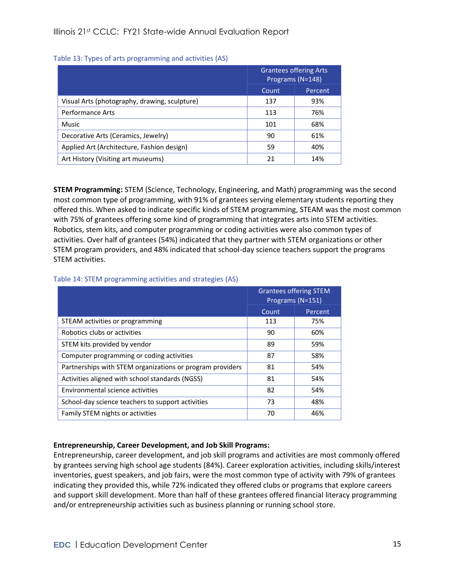#### Table 13: Types of arts programming and activities (AS)

|                                               | <b>Grantees offering Arts</b><br>Programs (N=148)<br>Percent<br>Count |     |
|-----------------------------------------------|-----------------------------------------------------------------------|-----|
|                                               |                                                                       |     |
| Visual Arts (photography, drawing, sculpture) | 137                                                                   | 93% |
| <b>Performance Arts</b>                       | 113                                                                   | 76% |
| Music                                         | 101                                                                   | 68% |
| Decorative Arts (Ceramics, Jewelry)           | 90                                                                    | 61% |
| Applied Art (Architecture, Fashion design)    | 59                                                                    | 40% |
| Art History (Visiting art museums)            | 21                                                                    | 14% |

**STEM Programming:** STEM (Science, Technology, Engineering, and Math) programming was the second most common type of programming, with 91% of grantees serving elementary students reporting they offered this. When asked to indicate specific kinds of STEM programming, STEAM was the most common with 75% of grantees offering some kind of programming that integrates arts into STEM activities. Robotics, stem kits, and computer programming or coding activities were also common types of activities. Over half of grantees (54%) indicated that they partner with STEM organizations or other STEM program providers, and 48% indicated that school-day science teachers support the programs STEM activities.

#### Table 14: STEM programming activities and strategies (AS)

|                                                           | <b>Grantees offering STEM</b><br>Programs (N=151)<br>Count<br>Percent |     |
|-----------------------------------------------------------|-----------------------------------------------------------------------|-----|
|                                                           |                                                                       |     |
| STEAM activities or programming                           | 113                                                                   | 75% |
| Robotics clubs or activities                              | 90                                                                    | 60% |
| STEM kits provided by vendor                              | 89                                                                    | 59% |
| Computer programming or coding activities                 | 87                                                                    | 58% |
| Partnerships with STEM organizations or program providers | 81                                                                    | 54% |
| Activities aligned with school standards (NGSS)           | 81                                                                    | 54% |
| Environmental science activities                          | 82                                                                    | 54% |
| School-day science teachers to support activities         | 73                                                                    | 48% |
| Family STEM nights or activities                          | 70                                                                    | 46% |

#### **Entrepreneurship, Career Development, and Job Skill Programs:**

Entrepreneurship, career development, and job skill programs and activities are most commonly offered by grantees serving high school age students (84%). Career exploration activities, including skills/interest inventories, guest speakers, and job fairs, were the most common type of activity with 79% of grantees indicating they provided this, while 72% indicated they offered clubs or programs that explore careers and support skill development. More than half of these grantees offered financial literacy programming and/or entrepreneurship activities such as business planning or running school store.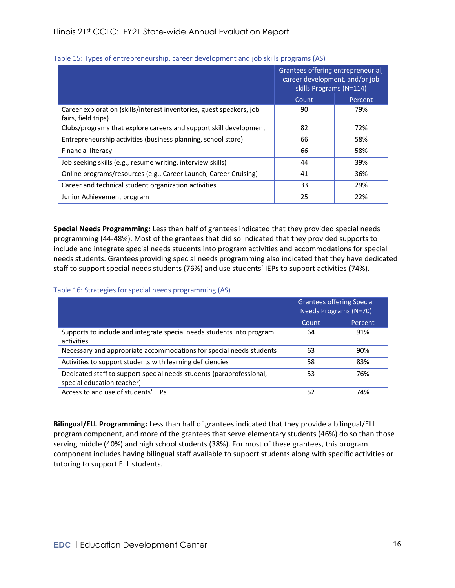|                                                                                             | Grantees offering entrepreneurial,<br>career development, and/or job<br>skills Programs (N=114)<br>Count<br>Percent |     |
|---------------------------------------------------------------------------------------------|---------------------------------------------------------------------------------------------------------------------|-----|
|                                                                                             |                                                                                                                     |     |
| Career exploration (skills/interest inventories, guest speakers, job<br>fairs, field trips) | 90                                                                                                                  | 79% |
| Clubs/programs that explore careers and support skill development                           | 82                                                                                                                  | 72% |
| Entrepreneurship activities (business planning, school store)                               | 66                                                                                                                  | 58% |
| Financial literacy                                                                          | 66                                                                                                                  | 58% |
| Job seeking skills (e.g., resume writing, interview skills)                                 | 44                                                                                                                  | 39% |
| Online programs/resources (e.g., Career Launch, Career Cruising)                            | 41                                                                                                                  | 36% |
| Career and technical student organization activities                                        | 33                                                                                                                  | 29% |
| Junior Achievement program                                                                  | 25                                                                                                                  | 22% |

#### Table 15: Types of entrepreneurship, career development and job skills programs (AS)

**Special Needs Programming:** Less than half of grantees indicated that they provided special needs programming (44-48%). Most of the grantees that did so indicated that they provided supports to include and integrate special needs students into program activities and accommodations for special needs students. Grantees providing special needs programming also indicated that they have dedicated staff to support special needs students (76%) and use students' IEPs to support activities (74%).

#### Table 16: Strategies for special needs programming (AS)

|                                                                                                    | <b>Grantees offering Special</b><br>Needs Programs (N=70) |         |
|----------------------------------------------------------------------------------------------------|-----------------------------------------------------------|---------|
|                                                                                                    | Count                                                     | Percent |
| Supports to include and integrate special needs students into program<br>activities                | 64                                                        | 91%     |
| Necessary and appropriate accommodations for special needs students                                | 63                                                        | 90%     |
| Activities to support students with learning deficiencies                                          | 58                                                        | 83%     |
| Dedicated staff to support special needs students (paraprofessional,<br>special education teacher) | 53                                                        | 76%     |
| Access to and use of students' IEPs                                                                | 52                                                        | 74%     |

**Bilingual/ELL Programming:** Less than half of grantees indicated that they provide a bilingual/ELL program component, and more of the grantees that serve elementary students (46%) do so than those serving middle (40%) and high school students (38%). For most of these grantees, this program component includes having bilingual staff available to support students along with specific activities or tutoring to support ELL students.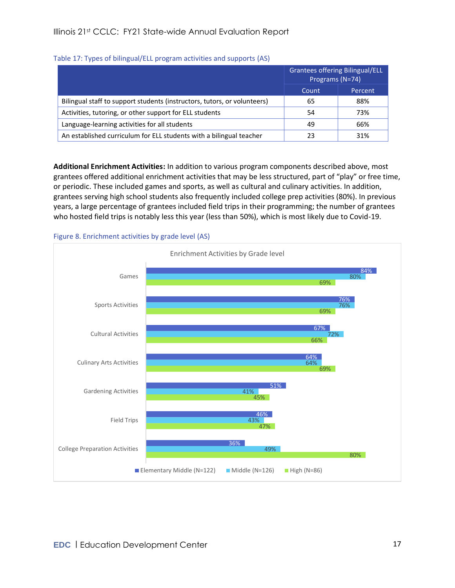|                                                                          | <b>Grantees offering Bilingual/ELL</b><br>Programs (N=74) |         |
|--------------------------------------------------------------------------|-----------------------------------------------------------|---------|
|                                                                          | Count                                                     | Percent |
| Bilingual staff to support students (instructors, tutors, or volunteers) | 65                                                        | 88%     |
| Activities, tutoring, or other support for ELL students                  | 54                                                        | 73%     |
| Language-learning activities for all students                            | 49                                                        | 66%     |
| An established curriculum for ELL students with a bilingual teacher      | 23                                                        | 31%     |

### Table 17: Types of bilingual/ELL program activities and supports (AS)

**Additional Enrichment Activities:** In addition to various program components described above, most grantees offered additional enrichment activities that may be less structured, part of "play" or free time, or periodic. These included games and sports, as well as cultural and culinary activities. In addition, grantees serving high school students also frequently included college prep activities (80%). In previous years, a large percentage of grantees included field trips in their programming; the number of grantees who hosted field trips is notably less this year (less than 50%), which is most likely due to Covid-19.

#### Figure 8. Enrichment activities by grade level (AS)

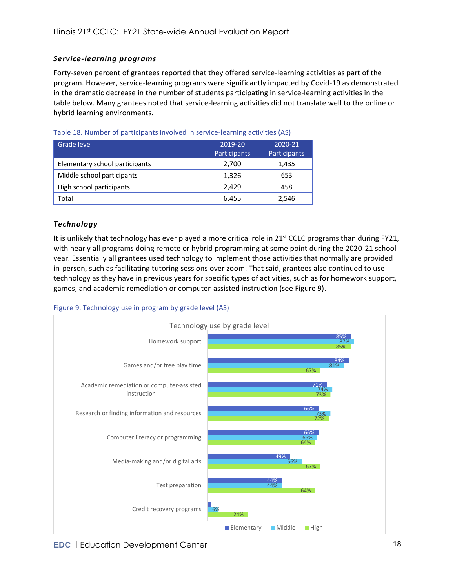### <span id="page-17-0"></span>*Service-learning programs*

Forty-seven percent of grantees reported that they offered service-learning activities as part of the program. However, service-learning programs were significantly impacted by Covid-19 as demonstrated in the dramatic decrease in the number of students participating in service-learning activities in the table below. Many grantees noted that service-learning activities did not translate well to the online or hybrid learning environments.

| Grade level                    | 2019-20<br>Participants | 2020-21<br>Participants |
|--------------------------------|-------------------------|-------------------------|
| Elementary school participants | 2,700                   | 1,435                   |
| Middle school participants     | 1,326                   | 653                     |
| High school participants       | 2.429                   | 458                     |
| Total                          | 6,455                   | 2,546                   |

### <span id="page-17-1"></span>*Technology*

It is unlikely that technology has ever played a more critical role in  $21^{st}$  CCLC programs than during FY21, with nearly all programs doing remote or hybrid programming at some point during the 2020-21 school year. Essentially all grantees used technology to implement those activities that normally are provided in-person, such as facilitating tutoring sessions over zoom. That said, grantees also continued to use technology as they have in previous years for specific types of activities, such as for homework support, games, and academic remediation or computer-assisted instruction (see [Figure 9\)](#page-17-2).

<span id="page-17-2"></span>

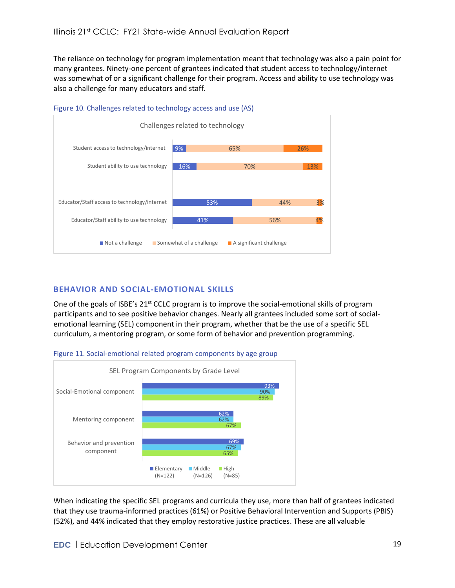The reliance on technology for program implementation meant that technology was also a pain point for many grantees. Ninety-one percent of grantees indicated that student access to technology/internet was somewhat of or a significant challenge for their program. Access and ability to use technology was also a challenge for many educators and staff.



<span id="page-18-1"></span>

### <span id="page-18-0"></span>**BEHAVIOR AND SOCIAL-EMOTIONAL SKILLS**

One of the goals of ISBE's 21<sup>st</sup> CCLC program is to improve the social-emotional skills of program participants and to see positive behavior changes. Nearly all grantees included some sort of socialemotional learning (SEL) component in their program, whether that be the use of a specific SEL curriculum, a mentoring program, or some form of behavior and prevention programming.





When indicating the specific SEL programs and curricula they use, more than half of grantees indicated that they use trauma-informed practices (61%) or Positive Behavioral Intervention and Supports (PBIS) (52%), and 44% indicated that they employ restorative justice practices. These are all valuable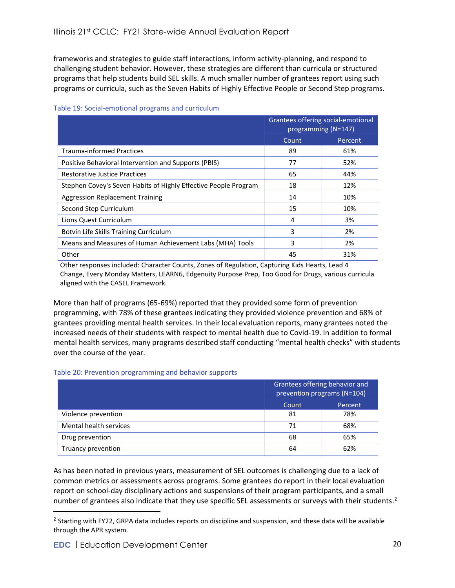frameworks and strategies to guide staff interactions, inform activity-planning, and respond to challenging student behavior. However, these strategies are different than curricula or structured programs that help students build SEL skills. A much smaller number of grantees report using such programs or curricula, such as the Seven Habits of Highly Effective People or Second Step programs.

|                                                                 | Grantees offering social-emotional<br>programming (N=147) |         |
|-----------------------------------------------------------------|-----------------------------------------------------------|---------|
|                                                                 | Count                                                     | Percent |
| <b>Trauma-informed Practices</b>                                | 89                                                        | 61%     |
| Positive Behavioral Intervention and Supports (PBIS)            | 77                                                        | 52%     |
| <b>Restorative Justice Practices</b>                            | 65                                                        | 44%     |
| Stephen Covey's Seven Habits of Highly Effective People Program | 18                                                        | 12%     |
| <b>Aggression Replacement Training</b>                          | 14                                                        | 10%     |
| Second Step Curriculum                                          | 15                                                        | 10%     |
| Lions Quest Curriculum                                          | 4                                                         | 3%      |
| Botvin Life Skills Training Curriculum                          | 3                                                         | 2%      |
| Means and Measures of Human Achievement Labs (MHA) Tools        | 3                                                         | 2%      |
| Other                                                           | 45                                                        | 31%     |

#### Table 19: Social-emotional programs and curriculum

Other responses included: Character Counts, Zones of Regulation, Capturing Kids Hearts, Lead 4 Change, Every Monday Matters, LEARN6, Edgenuity Purpose Prep, Too Good for Drugs, various curricula aligned with the CASEL Framework.

More than half of programs (65-69%) reported that they provided some form of prevention programming, with 78% of these grantees indicating they provided violence prevention and 68% of grantees providing mental health services. In their local evaluation reports, many grantees noted the increased needs of their students with respect to mental health due to Covid-19. In addition to formal mental health services, many programs described staff conducting "mental health checks" with students over the course of the year.

#### Table 20: Prevention programming and behavior supports

|                        | Grantees offering behavior and<br>prevention programs (N=104) |         |  |
|------------------------|---------------------------------------------------------------|---------|--|
|                        | Count                                                         | Percent |  |
| Violence prevention    | 81                                                            | 78%     |  |
| Mental health services | 71                                                            | 68%     |  |
| Drug prevention        | 68                                                            | 65%     |  |
| Truancy prevention     | 64                                                            | 62%     |  |

As has been noted in previous years, measurement of SEL outcomes is challenging due to a lack of common metrics or assessments across programs. Some grantees do report in their local evaluation report on school-day disciplinary actions and suspensions of their program participants, and a small number of grantees also indicate that they use specific SEL assessments or surveys with their students.<sup>2</sup>

<sup>&</sup>lt;sup>2</sup> Starting with FY22, GRPA data includes reports on discipline and suspension, and these data will be available through the APR system.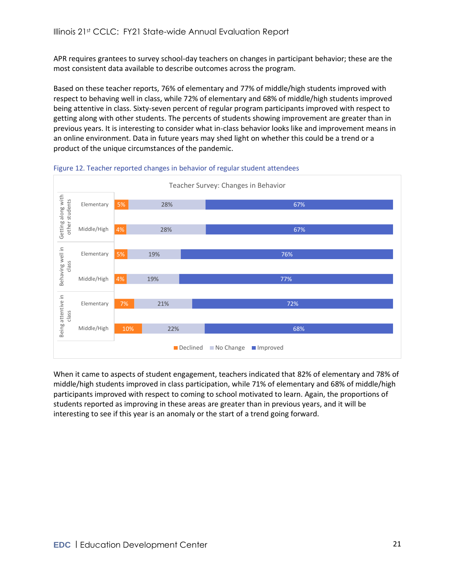APR requires grantees to survey school-day teachers on changes in participant behavior; these are the most consistent data available to describe outcomes across the program.

Based on these teacher reports, 76% of elementary and 77% of middle/high students improved with respect to behaving well in class, while 72% of elementary and 68% of middle/high students improved being attentive in class. Sixty-seven percent of regular program participants improved with respect to getting along with other students. The percents of students showing improvement are greater than in previous years. It is interesting to consider what in-class behavior looks like and improvement means in an online environment. Data in future years may shed light on whether this could be a trend or a product of the unique circumstances of the pandemic.





When it came to aspects of student engagement, teachers indicated that 82% of elementary and 78% of middle/high students improved in class participation, while 71% of elementary and 68% of middle/high participants improved with respect to coming to school motivated to learn. Again, the proportions of students reported as improving in these areas are greater than in previous years, and it will be interesting to see if this year is an anomaly or the start of a trend going forward.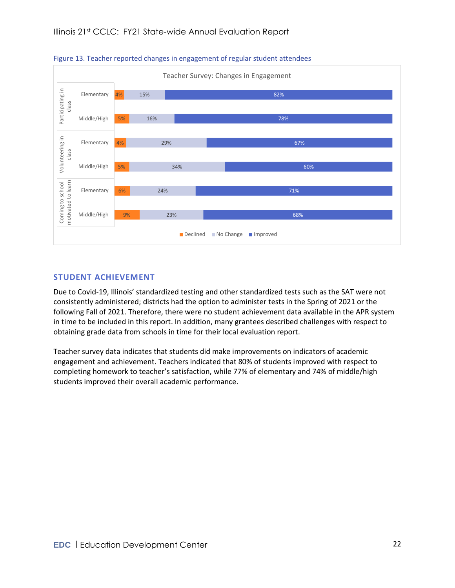

Figure 13. Teacher reported changes in engagement of regular student attendees

### <span id="page-21-0"></span>**STUDENT ACHIEVEMENT**

Due to Covid-19, Illinois' standardized testing and other standardized tests such as the SAT were not consistently administered; districts had the option to administer tests in the Spring of 2021 or the following Fall of 2021. Therefore, there were no student achievement data available in the APR system in time to be included in this report. In addition, many grantees described challenges with respect to obtaining grade data from schools in time for their local evaluation report.

Teacher survey data indicates that students did make improvements on indicators of academic engagement and achievement. Teachers indicated that 80% of students improved with respect to completing homework to teacher's satisfaction, while 77% of elementary and 74% of middle/high students improved their overall academic performance.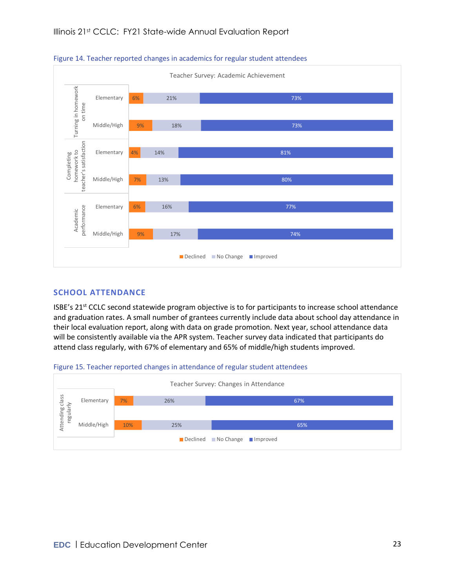

Figure 14. Teacher reported changes in academics for regular student attendees

### <span id="page-22-0"></span>**SCHOOL ATTENDANCE**

ISBE's 21st CCLC second statewide program objective is to for participants to increase school attendance and graduation rates. A small number of grantees currently include data about school day attendance in their local evaluation report, along with data on grade promotion. Next year, school attendance data will be consistently available via the APR system. Teacher survey data indicated that participants do attend class regularly, with 67% of elementary and 65% of middle/high students improved.



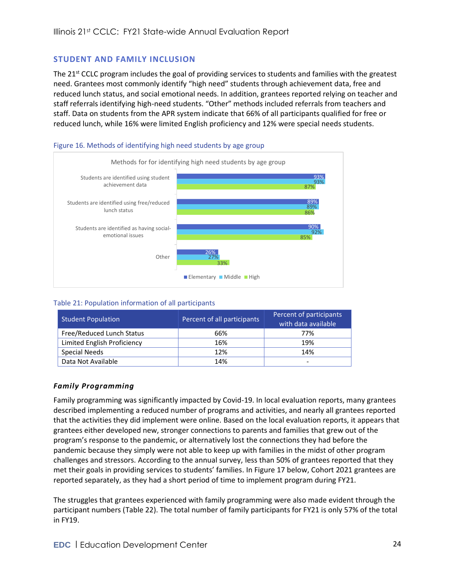### <span id="page-23-0"></span>**STUDENT AND FAMILY INCLUSION**

The 21<sup>st</sup> CCLC program includes the goal of providing services to students and families with the greatest need. Grantees most commonly identify "high need" students through achievement data, free and reduced lunch status, and social emotional needs. In addition, grantees reported relying on teacher and staff referrals identifying high-need students. "Other" methods included referrals from teachers and staff. Data on students from the APR system indicate that 66% of all participants qualified for free or reduced lunch, while 16% were limited English proficiency and 12% were special needs students.

#### Figure 16. Methods of identifying high need students by age group



#### Table 21: Population information of all participants

| <b>Student Population</b>   | Percent of all participants | Percent of participants<br>with data available |
|-----------------------------|-----------------------------|------------------------------------------------|
| Free/Reduced Lunch Status   | 66%                         | 77%                                            |
| Limited English Proficiency | 16%                         | 19%                                            |
| <b>Special Needs</b>        | 12%                         | 14%                                            |
| Data Not Available          | 14%                         | -                                              |

### <span id="page-23-1"></span>*Family Programming*

Family programming was significantly impacted by Covid-19. In local evaluation reports, many grantees described implementing a reduced number of programs and activities, and nearly all grantees reported that the activities they did implement were online. Based on the local evaluation reports, it appears that grantees either developed new, stronger connections to parents and families that grew out of the program's response to the pandemic, or alternatively lost the connections they had before the pandemic because they simply were not able to keep up with families in the midst of other program challenges and stressors. According to the annual survey, less than 50% of grantees reported that they met their goals in providing services to students' families. In [Figure 17](#page-24-0) below, Cohort 2021 grantees are reported separately, as they had a short period of time to implement program during FY21.

The struggles that grantees experienced with family programming were also made evident through the participant numbers [\(Table 22\)](#page-24-1). The total number of family participants for FY21 is only 57% of the total in FY19.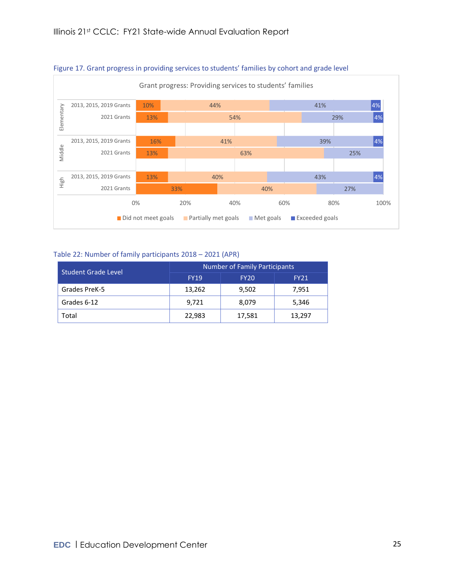

#### <span id="page-24-0"></span>Figure 17. Grant progress in providing services to students' families by cohort and grade level

#### <span id="page-24-1"></span>Table 22: Number of family participants 2018 – 2021 (APR)

| <b>Student Grade Level</b> | <b>Number of Family Participants</b> |             |             |  |  |
|----------------------------|--------------------------------------|-------------|-------------|--|--|
|                            | <b>FY19</b>                          | <b>FY20</b> | <b>FY21</b> |  |  |
| Grades PreK-5              | 13,262                               | 9,502       | 7,951       |  |  |
| Grades 6-12                | 9,721                                | 8,079       | 5,346       |  |  |
| Total                      | 22,983                               | 17,581      | 13,297      |  |  |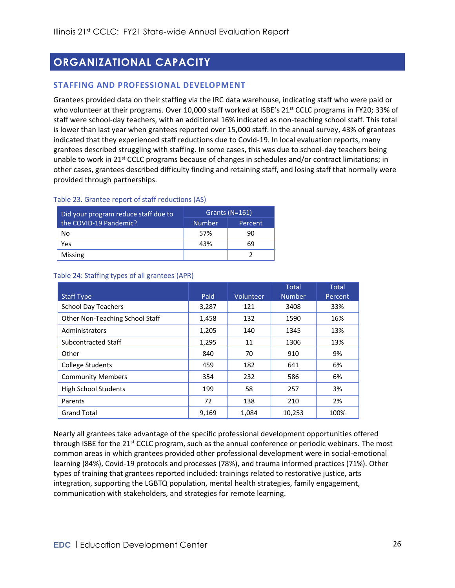## <span id="page-25-0"></span>**ORGANIZATIONAL CAPACITY**

### <span id="page-25-1"></span>**STAFFING AND PROFESSIONAL DEVELOPMENT**

Grantees provided data on their staffing via the IRC data warehouse, indicating staff who were paid or who volunteer at their programs. Over 10,000 staff worked at ISBE's 21<sup>st</sup> CCLC programs in FY20; 33% of staff were school-day teachers, with an additional 16% indicated as non-teaching school staff. This total is lower than last year when grantees reported over 15,000 staff. In the annual survey, 43% of grantees indicated that they experienced staff reductions due to Covid-19. In local evaluation reports, many grantees described struggling with staffing. In some cases, this was due to school-day teachers being unable to work in 21<sup>st</sup> CCLC programs because of changes in schedules and/or contract limitations; in other cases, grantees described difficulty finding and retaining staff, and losing staff that normally were provided through partnerships.

| apic 25. Signice report of start regactions (7.9)              |                  |         |  |  |
|----------------------------------------------------------------|------------------|---------|--|--|
| Did your program reduce staff due to<br>the COVID-19 Pandemic? | Grants $(N=161)$ |         |  |  |
|                                                                | <b>Number</b>    | Percent |  |  |
| No                                                             | 57%              | 90      |  |  |
| Yes                                                            | 43%              | 69      |  |  |
|                                                                |                  |         |  |  |

Missing 2

#### Table 23. Grantee report of staff reductions (AS)

|                                 |       |           | <b>Total</b>  | Total   |
|---------------------------------|-------|-----------|---------------|---------|
| <b>Staff Type</b>               | Paid  | Volunteer | <b>Number</b> | Percent |
| <b>School Day Teachers</b>      | 3,287 | 121       | 3408          | 33%     |
| Other Non-Teaching School Staff | 1,458 | 132       | 1590          | 16%     |
| Administrators                  | 1,205 | 140       | 1345          | 13%     |
| Subcontracted Staff             | 1,295 | 11        | 1306          | 13%     |
| Other                           | 840   | 70        | 910           | 9%      |
| <b>College Students</b>         | 459   | 182       | 641           | 6%      |
| <b>Community Members</b>        | 354   | 232       | 586           | 6%      |
| <b>High School Students</b>     | 199   | 58        | 257           | 3%      |
| Parents                         | 72    | 138       | 210           | 2%      |
| <b>Grand Total</b>              | 9,169 | 1,084     | 10,253        | 100%    |

#### Table 24: Staffing types of all grantees (APR)

Nearly all grantees take advantage of the specific professional development opportunities offered through ISBE for the 21<sup>st</sup> CCLC program, such as the annual conference or periodic webinars. The most common areas in which grantees provided other professional development were in social-emotional learning (84%), Covid-19 protocols and processes (78%), and trauma informed practices (71%). Other types of training that grantees reported included: trainings related to restorative justice, arts integration, supporting the LGBTQ population, mental health strategies, family engagement, communication with stakeholders, and strategies for remote learning.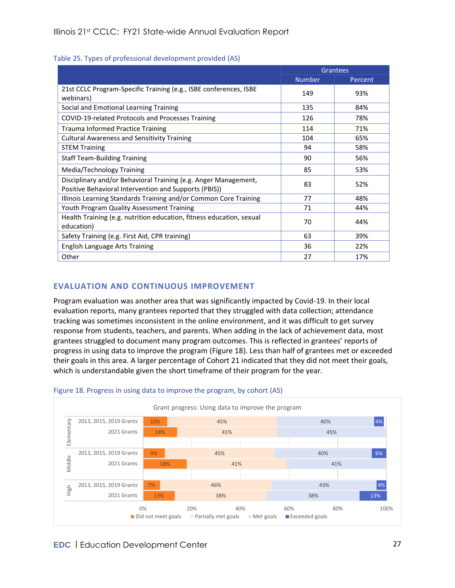#### Table 25. Types of professional development provided (AS)

|                                                                                                                          |               | Grantees |
|--------------------------------------------------------------------------------------------------------------------------|---------------|----------|
|                                                                                                                          | <b>Number</b> | Percent  |
| 21st CCLC Program-Specific Training (e.g., ISBE conferences, ISBE<br>webinars)                                           | 149           | 93%      |
| Social and Emotional Learning Training                                                                                   | 135           | 84%      |
| COVID-19-related Protocols and Processes Training                                                                        | 126           | 78%      |
| Trauma Informed Practice Training                                                                                        | 114           | 71%      |
| <b>Cultural Awareness and Sensitivity Training</b>                                                                       | 104           | 65%      |
| <b>STEM Training</b>                                                                                                     | 94            | 58%      |
| <b>Staff Team-Building Training</b>                                                                                      | 90            | 56%      |
| Media/Technology Training                                                                                                | 85            | 53%      |
| Disciplinary and/or Behavioral Training (e.g. Anger Management,<br>Positive Behavioral Intervention and Supports (PBIS)) | 83            | 52%      |
| Illinois Learning Standards Training and/or Common Core Training                                                         | 77            | 48%      |
| Youth Program Quality Assessment Training                                                                                | 71            | 44%      |
| Health Training (e.g. nutrition education, fitness education, sexual<br>education)                                       | 70            | 44%      |
| Safety Training (e.g. First Aid, CPR training)                                                                           | 63            | 39%      |
| <b>English Language Arts Training</b>                                                                                    | 36            | 22%      |
| Other                                                                                                                    | 27            | 17%      |

### <span id="page-26-0"></span>**EVALUATION AND CONTINUOUS IMPROVEMENT**

Program evaluation was another area that was significantly impacted by Covid-19. In their local evaluation reports, many grantees reported that they struggled with data collection; attendance tracking was sometimes inconsistent in the online environment, and it was difficult to get survey response from students, teachers, and parents. When adding in the lack of achievement data, most grantees struggled to document many program outcomes. This is reflected in grantees' reports of progress in using data to improve the program [\(Figure 18\)](#page-26-1). Less than half of grantees met or exceeded their goals in this area. A larger percentage of Cohort 21 indicated that they did not meet their goals, which is understandable given the short timeframe of their program for the year.



#### <span id="page-26-1"></span>Figure 18. Progress in using data to improve the program, by cohort (AS)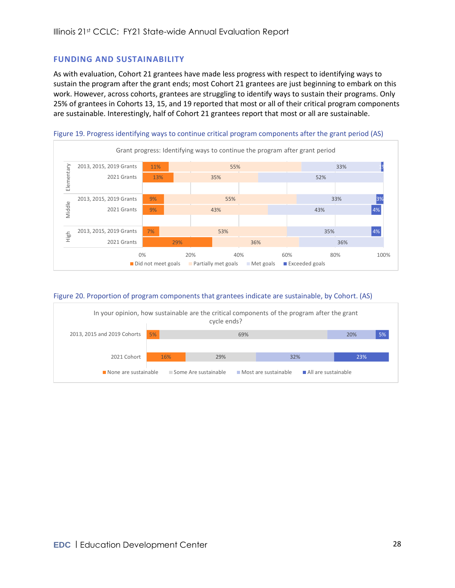### <span id="page-27-0"></span>**FUNDING AND SUSTAINABILITY**

As with evaluation, Cohort 21 grantees have made less progress with respect to identifying ways to sustain the program after the grant ends; most Cohort 21 grantees are just beginning to embark on this work. However, across cohorts, grantees are struggling to identify ways to sustain their programs. Only 25% of grantees in Cohorts 13, 15, and 19 reported that most or all of their critical program components are sustainable. Interestingly, half of Cohort 21 grantees report that most or all are sustainable.



#### Figure 20. Proportion of program components that grantees indicate are sustainable, by Cohort. (AS)

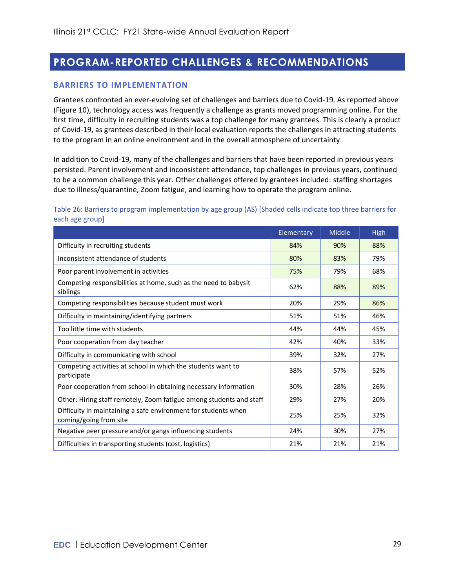## <span id="page-28-0"></span>**PROGRAM-REPORTED CHALLENGES & RECOMMENDATIONS**

#### <span id="page-28-1"></span>**BARRIERS TO IMPLEMENTATION**

Grantees confronted an ever-evolving set of challenges and barriers due to Covid-19. As reported above [\(Figure 10\)](#page-18-1), technology access was frequently a challenge as grants moved programming online. For the first time, difficulty in recruiting students was a top challenge for many grantees. This is clearly a product of Covid-19, as grantees described in their local evaluation reports the challenges in attracting students to the program in an online environment and in the overall atmosphere of uncertainty.

In addition to Covid-19, many of the challenges and barriers that have been reported in previous years persisted. Parent involvement and inconsistent attendance, top challenges in previous years, continued to be a common challenge this year. Other challenges offered by grantees included: staffing shortages due to illness/quarantine, Zoom fatigue, and learning how to operate the program online.

#### Table 26: Barriers to program implementation by age group (AS) [Shaded cells indicate top three barriers for each age group]

|                                                                                          | Elementary | Middle | <b>High</b> |
|------------------------------------------------------------------------------------------|------------|--------|-------------|
| Difficulty in recruiting students                                                        | 84%        | 90%    | 88%         |
| Inconsistent attendance of students                                                      | 80%        | 83%    | 79%         |
| Poor parent involvement in activities                                                    | 75%        | 79%    | 68%         |
| Competing responsibilities at home, such as the need to babysit<br>siblings              | 62%        | 88%    | 89%         |
| Competing responsibilities because student must work                                     | 20%        | 29%    | 86%         |
| Difficulty in maintaining/identifying partners                                           | 51%        | 51%    | 46%         |
| Too little time with students                                                            | 44%        | 44%    | 45%         |
| Poor cooperation from day teacher                                                        | 42%        | 40%    | 33%         |
| Difficulty in communicating with school                                                  | 39%        | 32%    | 27%         |
| Competing activities at school in which the students want to<br>participate              | 38%        | 57%    | 52%         |
| Poor cooperation from school in obtaining necessary information                          | 30%        | 28%    | 26%         |
| Other: Hiring staff remotely, Zoom fatigue among students and staff                      | 29%        | 27%    | 20%         |
| Difficulty in maintaining a safe environment for students when<br>coming/going from site | 25%        | 25%    | 32%         |
| Negative peer pressure and/or gangs influencing students                                 | 24%        | 30%    | 27%         |
| Difficulties in transporting students (cost, logistics)                                  | 21%        | 21%    | 21%         |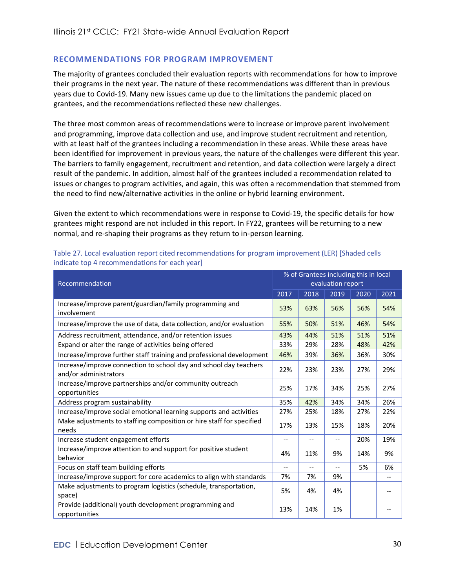### <span id="page-29-0"></span>**RECOMMENDATIONS FOR PROGRAM IMPROVEMENT**

The majority of grantees concluded their evaluation reports with recommendations for how to improve their programs in the next year. The nature of these recommendations was different than in previous years due to Covid-19. Many new issues came up due to the limitations the pandemic placed on grantees, and the recommendations reflected these new challenges.

The three most common areas of recommendations were to increase or improve parent involvement and programming, improve data collection and use, and improve student recruitment and retention, with at least half of the grantees including a recommendation in these areas. While these areas have been identified for improvement in previous years, the nature of the challenges were different this year. The barriers to family engagement, recruitment and retention, and data collection were largely a direct result of the pandemic. In addition, almost half of the grantees included a recommendation related to issues or changes to program activities, and again, this was often a recommendation that stemmed from the need to find new/alternative activities in the online or hybrid learning environment.

Given the extent to which recommendations were in response to Covid-19, the specific details for how grantees might respond are not included in this report. In FY22, grantees will be returning to a new normal, and re-shaping their programs as they return to in-person learning.

| Recommendation                                                                             |      | % of Grantees including this in local |                   |      |                   |
|--------------------------------------------------------------------------------------------|------|---------------------------------------|-------------------|------|-------------------|
|                                                                                            |      | evaluation report                     |                   |      |                   |
|                                                                                            | 2017 | 2018                                  | 2019              | 2020 | 2021              |
| Increase/improve parent/guardian/family programming and<br>involvement                     | 53%  | 63%                                   | 56%               | 56%  | 54%               |
| Increase/improve the use of data, data collection, and/or evaluation                       | 55%  | 50%                                   | 51%               | 46%  | 54%               |
| Address recruitment, attendance, and/or retention issues                                   | 43%  | 44%                                   | 51%               | 51%  | 51%               |
| Expand or alter the range of activities being offered                                      | 33%  | 29%                                   | 28%               | 48%  | 42%               |
| Increase/improve further staff training and professional development                       | 46%  | 39%                                   | 36%               | 36%  | 30%               |
| Increase/improve connection to school day and school day teachers<br>and/or administrators | 22%  | 23%                                   | 23%               | 27%  | 29%               |
| Increase/improve partnerships and/or community outreach<br>opportunities                   | 25%  | 17%                                   | 34%               | 25%  | 27%               |
| Address program sustainability                                                             |      | 42%                                   | 34%               | 34%  | 26%               |
| Increase/improve social emotional learning supports and activities                         | 27%  | 25%                                   | 18%               | 27%  | 22%               |
| Make adjustments to staffing composition or hire staff for specified<br>needs              | 17%  | 13%                                   | 15%               | 18%  | 20%               |
| Increase student engagement efforts                                                        |      | --                                    |                   | 20%  | 19%               |
| Increase/improve attention to and support for positive student<br>behavior                 | 4%   | 11%                                   | 9%                | 14%  | 9%                |
| Focus on staff team building efforts                                                       | $-$  | $\overline{\phantom{a}}$              | $\qquad \qquad -$ | 5%   | 6%                |
| Increase/improve support for core academics to align with standards                        | 7%   | 7%                                    | 9%                |      | $\qquad \qquad -$ |
| Make adjustments to program logistics (schedule, transportation,<br>space)                 | 5%   | 4%                                    | 4%                |      |                   |
| Provide (additional) youth development programming and<br>opportunities                    | 13%  | 14%                                   | 1%                |      |                   |

Table 27. Local evaluation report cited recommendations for program improvement (LER) [Shaded cells indicate top 4 recommendations for each year]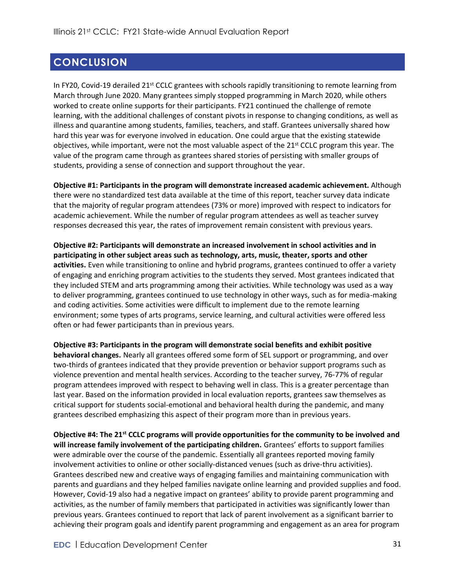## <span id="page-30-0"></span>**CONCLUSION**

In FY20, Covid-19 derailed 21<sup>st</sup> CCLC grantees with schools rapidly transitioning to remote learning from March through June 2020. Many grantees simply stopped programming in March 2020, while others worked to create online supports for their participants. FY21 continued the challenge of remote learning, with the additional challenges of constant pivots in response to changing conditions, as well as illness and quarantine among students, families, teachers, and staff. Grantees universally shared how hard this year was for everyone involved in education. One could argue that the existing statewide objectives, while important, were not the most valuable aspect of the 21<sup>st</sup> CCLC program this year. The value of the program came through as grantees shared stories of persisting with smaller groups of students, providing a sense of connection and support throughout the year.

**Objective #1: Participants in the program will demonstrate increased academic achievement.** Although there were no standardized test data available at the time of this report, teacher survey data indicate that the majority of regular program attendees (73% or more) improved with respect to indicators for academic achievement. While the number of regular program attendees as well as teacher survey responses decreased this year, the rates of improvement remain consistent with previous years.

**Objective #2: Participants will demonstrate an increased involvement in school activities and in participating in other subject areas such as technology, arts, music, theater, sports and other activities.** Even while transitioning to online and hybrid programs, grantees continued to offer a variety of engaging and enriching program activities to the students they served. Most grantees indicated that they included STEM and arts programming among their activities. While technology was used as a way to deliver programming, grantees continued to use technology in other ways, such as for media-making and coding activities. Some activities were difficult to implement due to the remote learning environment; some types of arts programs, service learning, and cultural activities were offered less often or had fewer participants than in previous years.

**Objective #3: Participants in the program will demonstrate social benefits and exhibit positive behavioral changes.** Nearly all grantees offered some form of SEL support or programming, and over two-thirds of grantees indicated that they provide prevention or behavior support programs such as violence prevention and mental health services. According to the teacher survey, 76-77% of regular program attendees improved with respect to behaving well in class. This is a greater percentage than last year. Based on the information provided in local evaluation reports, grantees saw themselves as critical support for students social-emotional and behavioral health during the pandemic, and many grantees described emphasizing this aspect of their program more than in previous years.

**Objective #4: The 21st CCLC programs will provide opportunities for the community to be involved and will increase family involvement of the participating children.** Grantees' efforts to support families were admirable over the course of the pandemic. Essentially all grantees reported moving family involvement activities to online or other socially-distanced venues (such as drive-thru activities). Grantees described new and creative ways of engaging families and maintaining communication with parents and guardians and they helped families navigate online learning and provided supplies and food. However, Covid-19 also had a negative impact on grantees' ability to provide parent programming and activities, as the number of family members that participated in activities was significantly lower than previous years. Grantees continued to report that lack of parent involvement as a significant barrier to achieving their program goals and identify parent programming and engagement as an area for program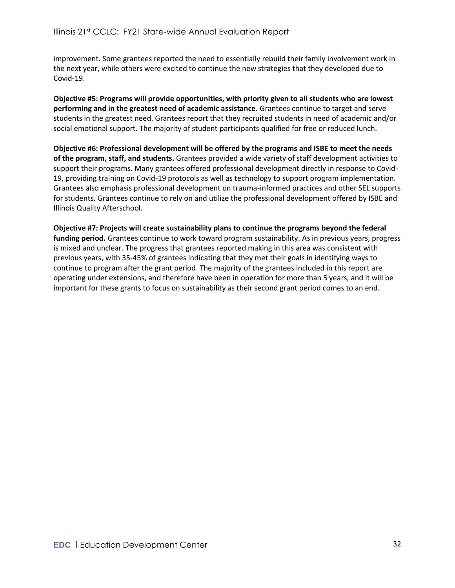improvement. Some grantees reported the need to essentially rebuild their family involvement work in the next year, while others were excited to continue the new strategies that they developed due to Covid-19.

**Objective #5: Programs will provide opportunities, with priority given to all students who are lowest performing and in the greatest need of academic assistance.** Grantees continue to target and serve students in the greatest need. Grantees report that they recruited students in need of academic and/or social emotional support. The majority of student participants qualified for free or reduced lunch.

**Objective #6: Professional development will be offered by the programs and ISBE to meet the needs of the program, staff, and students.** Grantees provided a wide variety of staff development activities to support their programs. Many grantees offered professional development directly in response to Covid-19, providing training on Covid-19 protocols as well as technology to support program implementation. Grantees also emphasis professional development on trauma-informed practices and other SEL supports for students. Grantees continue to rely on and utilize the professional development offered by ISBE and Illinois Quality Afterschool.

**Objective #7: Projects will create sustainability plans to continue the programs beyond the federal funding period.** Grantees continue to work toward program sustainability. As in previous years, progress is mixed and unclear. The progress that grantees reported making in this area was consistent with previous years, with 35-45% of grantees indicating that they met their goals in identifying ways to continue to program after the grant period. The majority of the grantees included in this report are operating under extensions, and therefore have been in operation for more than 5 years, and it will be important for these grants to focus on sustainability as their second grant period comes to an end.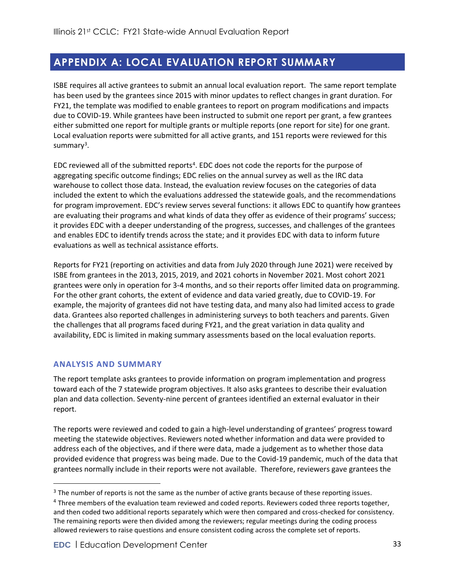## <span id="page-32-0"></span>**APPENDIX A: LOCAL EVALUATION REPORT SUMMARY**

ISBE requires all active grantees to submit an annual local evaluation report. The same report template has been used by the grantees since 2015 with minor updates to reflect changes in grant duration. For FY21, the template was modified to enable grantees to report on program modifications and impacts due to COVID-19. While grantees have been instructed to submit one report per grant, a few grantees either submitted one report for multiple grants or multiple reports (one report for site) for one grant. Local evaluation reports were submitted for all active grants, and 151 reports were reviewed for this summary<sup>3</sup>.

EDC reviewed all of the submitted reports<sup>4</sup>. EDC does not code the reports for the purpose of aggregating specific outcome findings; EDC relies on the annual survey as well as the IRC data warehouse to collect those data. Instead, the evaluation review focuses on the categories of data included the extent to which the evaluations addressed the statewide goals, and the recommendations for program improvement. EDC's review serves several functions: it allows EDC to quantify how grantees are evaluating their programs and what kinds of data they offer as evidence of their programs' success; it provides EDC with a deeper understanding of the progress, successes, and challenges of the grantees and enables EDC to identify trends across the state; and it provides EDC with data to inform future evaluations as well as technical assistance efforts.

Reports for FY21 (reporting on activities and data from July 2020 through June 2021) were received by ISBE from grantees in the 2013, 2015, 2019, and 2021 cohorts in November 2021. Most cohort 2021 grantees were only in operation for 3-4 months, and so their reports offer limited data on programming. For the other grant cohorts, the extent of evidence and data varied greatly, due to COVID-19. For example, the majority of grantees did not have testing data, and many also had limited access to grade data. Grantees also reported challenges in administering surveys to both teachers and parents. Given the challenges that all programs faced during FY21, and the great variation in data quality and availability, EDC is limited in making summary assessments based on the local evaluation reports.

### <span id="page-32-1"></span>**ANALYSIS AND SUMMARY**

The report template asks grantees to provide information on program implementation and progress toward each of the 7 statewide program objectives. It also asks grantees to describe their evaluation plan and data collection. Seventy-nine percent of grantees identified an external evaluator in their report.

The reports were reviewed and coded to gain a high-level understanding of grantees' progress toward meeting the statewide objectives. Reviewers noted whether information and data were provided to address each of the objectives, and if there were data, made a judgement as to whether those data provided evidence that progress was being made. Due to the Covid-19 pandemic, much of the data that grantees normally include in their reports were not available. Therefore, reviewers gave grantees the

<sup>&</sup>lt;sup>3</sup> The number of reports is not the same as the number of active grants because of these reporting issues.

<sup>4</sup> Three members of the evaluation team reviewed and coded reports. Reviewers coded three reports together, and then coded two additional reports separately which were then compared and cross-checked for consistency. The remaining reports were then divided among the reviewers; regular meetings during the coding process allowed reviewers to raise questions and ensure consistent coding across the complete set of reports.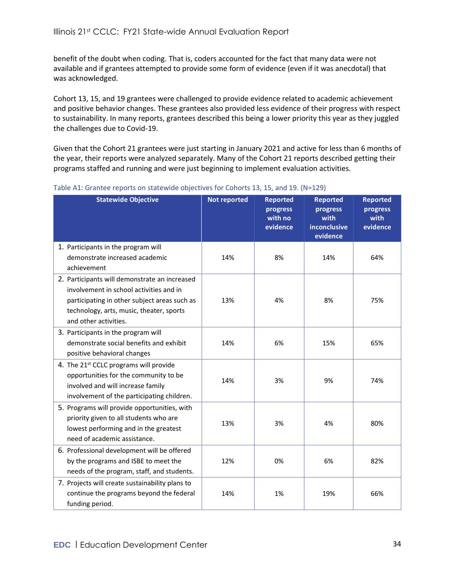benefit of the doubt when coding. That is, coders accounted for the fact that many data were not available and if grantees attempted to provide some form of evidence (even if it was anecdotal) that was acknowledged.

Cohort 13, 15, and 19 grantees were challenged to provide evidence related to academic achievement and positive behavior changes. These grantees also provided less evidence of their progress with respect to sustainability. In many reports, grantees described this being a lower priority this year as they juggled the challenges due to Covid-19.

Given that the Cohort 21 grantees were just starting in January 2021 and active for less than 6 months of the year, their reports were analyzed separately. Many of the Cohort 21 reports described getting their programs staffed and running and were just beginning to implement evaluation activities.

| <b>Statewide Objective</b>                                                     | <b>Not reported</b> | <b>Reported</b><br>progress<br>with no<br>evidence | <b>Reported</b><br>progress<br>with<br>inconclusive<br>evidence | <b>Reported</b><br>progress<br>with<br>evidence |
|--------------------------------------------------------------------------------|---------------------|----------------------------------------------------|-----------------------------------------------------------------|-------------------------------------------------|
| 1. Participants in the program will                                            |                     |                                                    |                                                                 |                                                 |
| demonstrate increased academic                                                 | 14%                 | 8%                                                 | 14%                                                             | 64%                                             |
| achievement                                                                    |                     |                                                    |                                                                 |                                                 |
| 2. Participants will demonstrate an increased                                  |                     |                                                    |                                                                 |                                                 |
| involvement in school activities and in                                        |                     |                                                    |                                                                 |                                                 |
| participating in other subject areas such as                                   | 13%                 | 4%                                                 | 8%                                                              | 75%                                             |
| technology, arts, music, theater, sports<br>and other activities.              |                     |                                                    |                                                                 |                                                 |
|                                                                                |                     |                                                    |                                                                 |                                                 |
| 3. Participants in the program will<br>demonstrate social benefits and exhibit | 14%                 | 6%                                                 | 15%                                                             | 65%                                             |
| positive behavioral changes                                                    |                     |                                                    |                                                                 |                                                 |
| 4. The 21st CCLC programs will provide                                         |                     |                                                    |                                                                 |                                                 |
| opportunities for the community to be                                          |                     |                                                    |                                                                 |                                                 |
| involved and will increase family                                              | 14%                 | 3%                                                 | 9%                                                              | 74%                                             |
| involvement of the participating children.                                     |                     |                                                    |                                                                 |                                                 |
| 5. Programs will provide opportunities, with                                   |                     |                                                    |                                                                 |                                                 |
| priority given to all students who are                                         |                     |                                                    |                                                                 |                                                 |
| lowest performing and in the greatest                                          | 13%                 | 3%                                                 | 4%                                                              | 80%                                             |
| need of academic assistance.                                                   |                     |                                                    |                                                                 |                                                 |
| 6. Professional development will be offered                                    |                     |                                                    |                                                                 |                                                 |
| by the programs and ISBE to meet the                                           | 12%                 | 0%                                                 | 6%                                                              | 82%                                             |
| needs of the program, staff, and students.                                     |                     |                                                    |                                                                 |                                                 |
| 7. Projects will create sustainability plans to                                |                     |                                                    |                                                                 |                                                 |
| continue the programs beyond the federal                                       | 14%                 | 1%                                                 | 19%                                                             | 66%                                             |
| funding period.                                                                |                     |                                                    |                                                                 |                                                 |

Table A1: Grantee reports on statewide objectives for Cohorts 13, 15, and 19. (N=129)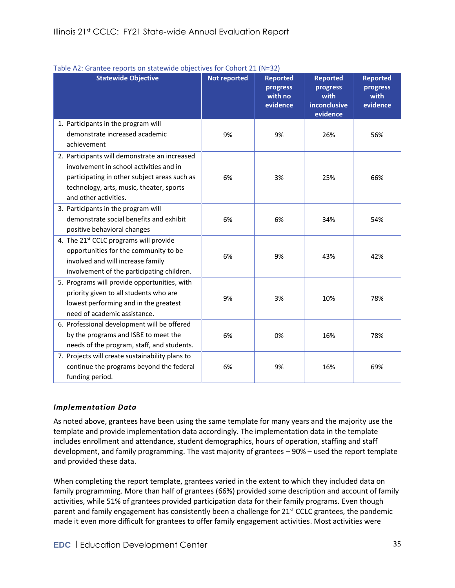| <b>Statewide Objective</b>                                                                                                                                                                                    | <b>Not reported</b> | <b>Reported</b><br>progress<br>with no<br>evidence | <b>Reported</b><br>progress<br>with<br>inconclusive<br>evidence | <b>Reported</b><br>progress<br>with<br>evidence |
|---------------------------------------------------------------------------------------------------------------------------------------------------------------------------------------------------------------|---------------------|----------------------------------------------------|-----------------------------------------------------------------|-------------------------------------------------|
| 1. Participants in the program will<br>demonstrate increased academic<br>achievement                                                                                                                          | 9%                  | 9%                                                 | 26%                                                             | 56%                                             |
| 2. Participants will demonstrate an increased<br>involvement in school activities and in<br>participating in other subject areas such as<br>technology, arts, music, theater, sports<br>and other activities. | 6%                  | 3%                                                 | 25%                                                             | 66%                                             |
| 3. Participants in the program will<br>demonstrate social benefits and exhibit<br>positive behavioral changes                                                                                                 | 6%                  | 6%                                                 | 34%                                                             | 54%                                             |
| 4. The 21st CCLC programs will provide<br>opportunities for the community to be<br>involved and will increase family<br>involvement of the participating children.                                            | 6%                  | 9%                                                 | 43%                                                             | 42%                                             |
| 5. Programs will provide opportunities, with<br>priority given to all students who are<br>lowest performing and in the greatest<br>need of academic assistance.                                               | 9%                  | 3%                                                 | 10%                                                             | 78%                                             |
| 6. Professional development will be offered<br>by the programs and ISBE to meet the<br>needs of the program, staff, and students.                                                                             | 6%                  | 0%                                                 | 16%                                                             | 78%                                             |
| 7. Projects will create sustainability plans to<br>continue the programs beyond the federal<br>funding period.                                                                                                | 6%                  | 9%                                                 | 16%                                                             | 69%                                             |

#### Table A2: Grantee reports on statewide objectives for Cohort 21 (N=32)

#### <span id="page-34-0"></span>*Implementation Data*

As noted above, grantees have been using the same template for many years and the majority use the template and provide implementation data accordingly. The implementation data in the template includes enrollment and attendance, student demographics, hours of operation, staffing and staff development, and family programming. The vast majority of grantees – 90% – used the report template and provided these data.

When completing the report template, grantees varied in the extent to which they included data on family programming. More than half of grantees (66%) provided some description and account of family activities, while 51% of grantees provided participation data for their family programs. Even though parent and family engagement has consistently been a challenge for 21<sup>st</sup> CCLC grantees, the pandemic made it even more difficult for grantees to offer family engagement activities. Most activities were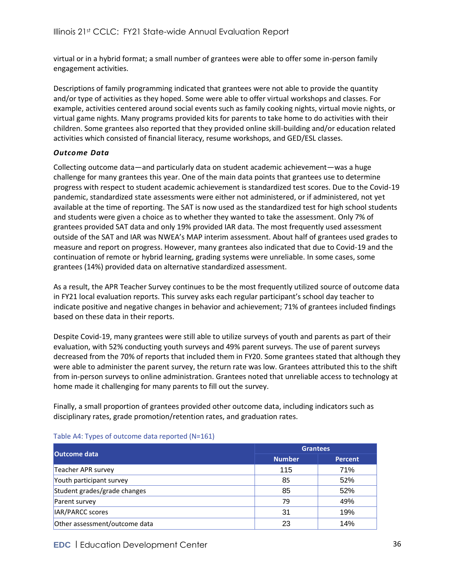virtual or in a hybrid format; a small number of grantees were able to offer some in-person family engagement activities.

Descriptions of family programming indicated that grantees were not able to provide the quantity and/or type of activities as they hoped. Some were able to offer virtual workshops and classes. For example, activities centered around social events such as family cooking nights, virtual movie nights, or virtual game nights. Many programs provided kits for parents to take home to do activities with their children. Some grantees also reported that they provided online skill-building and/or education related activities which consisted of financial literacy, resume workshops, and GED/ESL classes.

### <span id="page-35-0"></span>*Outcome Data*

Collecting outcome data—and particularly data on student academic achievement—was a huge challenge for many grantees this year. One of the main data points that grantees use to determine progress with respect to student academic achievement is standardized test scores. Due to the Covid-19 pandemic, standardized state assessments were either not administered, or if administered, not yet available at the time of reporting. The SAT is now used as the standardized test for high school students and students were given a choice as to whether they wanted to take the assessment. Only 7% of grantees provided SAT data and only 19% provided IAR data. The most frequently used assessment outside of the SAT and IAR was NWEA's MAP interim assessment. About half of grantees used grades to measure and report on progress. However, many grantees also indicated that due to Covid-19 and the continuation of remote or hybrid learning, grading systems were unreliable. In some cases, some grantees (14%) provided data on alternative standardized assessment.

As a result, the APR Teacher Survey continues to be the most frequently utilized source of outcome data in FY21 local evaluation reports. This survey asks each regular participant's school day teacher to indicate positive and negative changes in behavior and achievement; 71% of grantees included findings based on these data in their reports.

Despite Covid-19, many grantees were still able to utilize surveys of youth and parents as part of their evaluation, with 52% conducting youth surveys and 49% parent surveys. The use of parent surveys decreased from the 70% of reports that included them in FY20. Some grantees stated that although they were able to administer the parent survey, the return rate was low. Grantees attributed this to the shift from in-person surveys to online administration. Grantees noted that unreliable access to technology at home made it challenging for many parents to fill out the survey.

Finally, a small proportion of grantees provided other outcome data, including indicators such as disciplinary rates, grade promotion/retention rates, and graduation rates.

| <b>Outcome data</b>           | <b>Grantees</b> |                |  |  |
|-------------------------------|-----------------|----------------|--|--|
|                               | <b>Number</b>   | <b>Percent</b> |  |  |
| Teacher APR survey            | 115             | 71%            |  |  |
| Youth participant survey      | 85              | 52%            |  |  |
| Student grades/grade changes  | 85              | 52%            |  |  |
| Parent survey                 | 79              | 49%            |  |  |
| IAR/PARCC scores              | 31              | 19%            |  |  |
| Other assessment/outcome data | 23              | 14%            |  |  |

#### Table A4: Types of outcome data reported (N=161)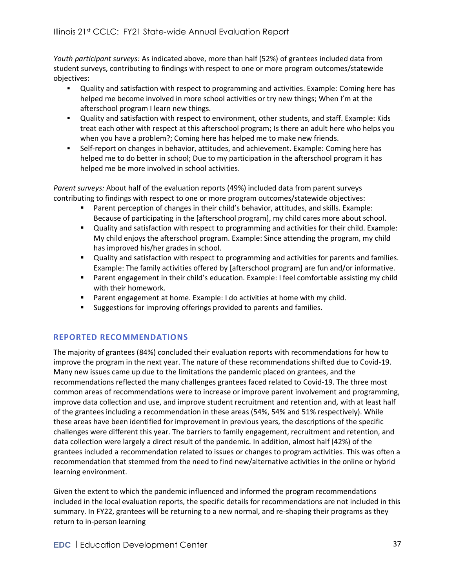*Youth participant surveys:* As indicated above, more than half (52%) of grantees included data from student surveys, contributing to findings with respect to one or more program outcomes/statewide objectives:

- Quality and satisfaction with respect to programming and activities. Example: Coming here has helped me become involved in more school activities or try new things; When I'm at the afterschool program I learn new things.
- Quality and satisfaction with respect to environment, other students, and staff. Example: Kids treat each other with respect at this afterschool program; Is there an adult here who helps you when you have a problem?; Coming here has helped me to make new friends.
- **EXELG** Self-report on changes in behavior, attitudes, and achievement. Example: Coming here has helped me to do better in school; Due to my participation in the afterschool program it has helped me be more involved in school activities.

*Parent surveys:* About half of the evaluation reports (49%) included data from parent surveys contributing to findings with respect to one or more program outcomes/statewide objectives:

- Parent perception of changes in their child's behavior, attitudes, and skills. Example: Because of participating in the [afterschool program], my child cares more about school.
- Quality and satisfaction with respect to programming and activities for their child. Example: My child enjoys the afterschool program. Example: Since attending the program, my child has improved his/her grades in school.
- **•** Quality and satisfaction with respect to programming and activities for parents and families. Example: The family activities offered by [afterschool program] are fun and/or informative.
- Parent engagement in their child's education. Example: I feel comfortable assisting my child with their homework.
- Parent engagement at home. Example: I do activities at home with my child.
- Suggestions for improving offerings provided to parents and families.

### <span id="page-36-0"></span>**REPORTED RECOMMENDATIONS**

The majority of grantees (84%) concluded their evaluation reports with recommendations for how to improve the program in the next year. The nature of these recommendations shifted due to Covid-19. Many new issues came up due to the limitations the pandemic placed on grantees, and the recommendations reflected the many challenges grantees faced related to Covid-19. The three most common areas of recommendations were to increase or improve parent involvement and programming, improve data collection and use, and improve student recruitment and retention and, with at least half of the grantees including a recommendation in these areas (54%, 54% and 51% respectively). While these areas have been identified for improvement in previous years, the descriptions of the specific challenges were different this year. The barriers to family engagement, recruitment and retention, and data collection were largely a direct result of the pandemic. In addition, almost half (42%) of the grantees included a recommendation related to issues or changes to program activities. This was often a recommendation that stemmed from the need to find new/alternative activities in the online or hybrid learning environment.

Given the extent to which the pandemic influenced and informed the program recommendations included in the local evaluation reports, the specific details for recommendations are not included in this summary. In FY22, grantees will be returning to a new normal, and re-shaping their programs as they return to in-person learning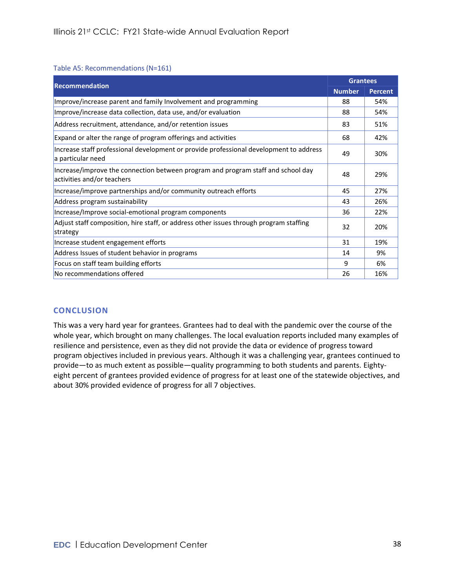#### Table A5: Recommendations (N=161)

| <b>Recommendation</b>                                                                                          |               | <b>Grantees</b> |
|----------------------------------------------------------------------------------------------------------------|---------------|-----------------|
|                                                                                                                | <b>Number</b> | <b>Percent</b>  |
| Improve/increase parent and family Involvement and programming                                                 | 88            | 54%             |
| Improve/increase data collection, data use, and/or evaluation                                                  | 88            | 54%             |
| Address recruitment, attendance, and/or retention issues                                                       | 83            | 51%             |
| Expand or alter the range of program offerings and activities                                                  | 68            | 42%             |
| Increase staff professional development or provide professional development to address<br>a particular need    | 49            | 30%             |
| Increase/improve the connection between program and program staff and school day<br>activities and/or teachers | 48            | 29%             |
| Increase/improve partnerships and/or community outreach efforts                                                | 45            | 27%             |
| Address program sustainability                                                                                 | 43            | 26%             |
| Increase/Improve social-emotional program components                                                           | 36            | 22%             |
| Adjust staff composition, hire staff, or address other issues through program staffing<br>strategy             | 32            | 20%             |
| Increase student engagement efforts                                                                            | 31            | 19%             |
| Address Issues of student behavior in programs                                                                 | 14            | 9%              |
| Focus on staff team building efforts                                                                           | 9             | 6%              |
| No recommendations offered                                                                                     | 26            | 16%             |

### <span id="page-37-0"></span>**CONCLUSION**

This was a very hard year for grantees. Grantees had to deal with the pandemic over the course of the whole year, which brought on many challenges. The local evaluation reports included many examples of resilience and persistence, even as they did not provide the data or evidence of progress toward program objectives included in previous years. Although it was a challenging year, grantees continued to provide—to as much extent as possible—quality programming to both students and parents. Eightyeight percent of grantees provided evidence of progress for at least one of the statewide objectives, and about 30% provided evidence of progress for all 7 objectives.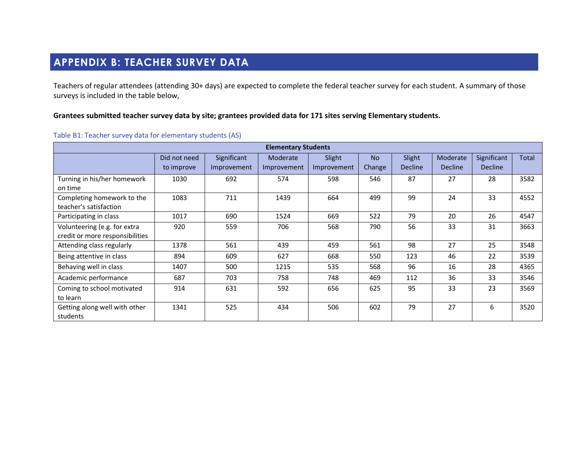## **APPENDIX B: TEACHER SURVEY DATA**

Teachers of regular attendees (attending 30+ days) are expected to complete the federal teacher survey for each student. A summary of those surveys is included in the table below,

### **Grantees submitted teacher survey data by site; grantees provided data for 171 sites serving Elementary students.**

<span id="page-38-0"></span>

| <b>Elementary Students</b>      |              |             |             |             |           |                |                |                |       |
|---------------------------------|--------------|-------------|-------------|-------------|-----------|----------------|----------------|----------------|-------|
|                                 | Did not need | Significant | Moderate    | Slight      | <b>No</b> | Slight         | Moderate       | Significant    | Total |
|                                 | to improve   | Improvement | Improvement | Improvement | Change    | <b>Decline</b> | <b>Decline</b> | <b>Decline</b> |       |
| Turning in his/her homework     | 1030         | 692         | 574         | 598         | 546       | 87             | 27             | 28             | 3582  |
| on time                         |              |             |             |             |           |                |                |                |       |
| Completing homework to the      | 1083         | 711         | 1439        | 664         | 499       | 99             | 24             | 33             | 4552  |
| teacher's satisfaction          |              |             |             |             |           |                |                |                |       |
| Participating in class          | 1017         | 690         | 1524        | 669         | 522       | 79             | 20             | 26             | 4547  |
| Volunteering (e.g. for extra    | 920          | 559         | 706         | 568         | 790       | 56             | 33             | 31             | 3663  |
| credit or more responsibilities |              |             |             |             |           |                |                |                |       |
| Attending class regularly       | 1378         | 561         | 439         | 459         | 561       | 98             | 27             | 25             | 3548  |
| Being attentive in class        | 894          | 609         | 627         | 668         | 550       | 123            | 46             | 22             | 3539  |
| Behaving well in class          | 1407         | 500         | 1215        | 535         | 568       | 96             | 16             | 28             | 4365  |
| Academic performance            | 687          | 703         | 758         | 748         | 469       | 112            | 36             | 33             | 3546  |
| Coming to school motivated      | 914          | 631         | 592         | 656         | 625       | 95             | 33             | 23             | 3569  |
| to learn                        |              |             |             |             |           |                |                |                |       |
| Getting along well with other   | 1341         | 525         | 434         | 506         | 602       | 79             | 27             | 6              | 3520  |
| students                        |              |             |             |             |           |                |                |                |       |

#### Table B1: Teacher survey data for elementary students (AS)